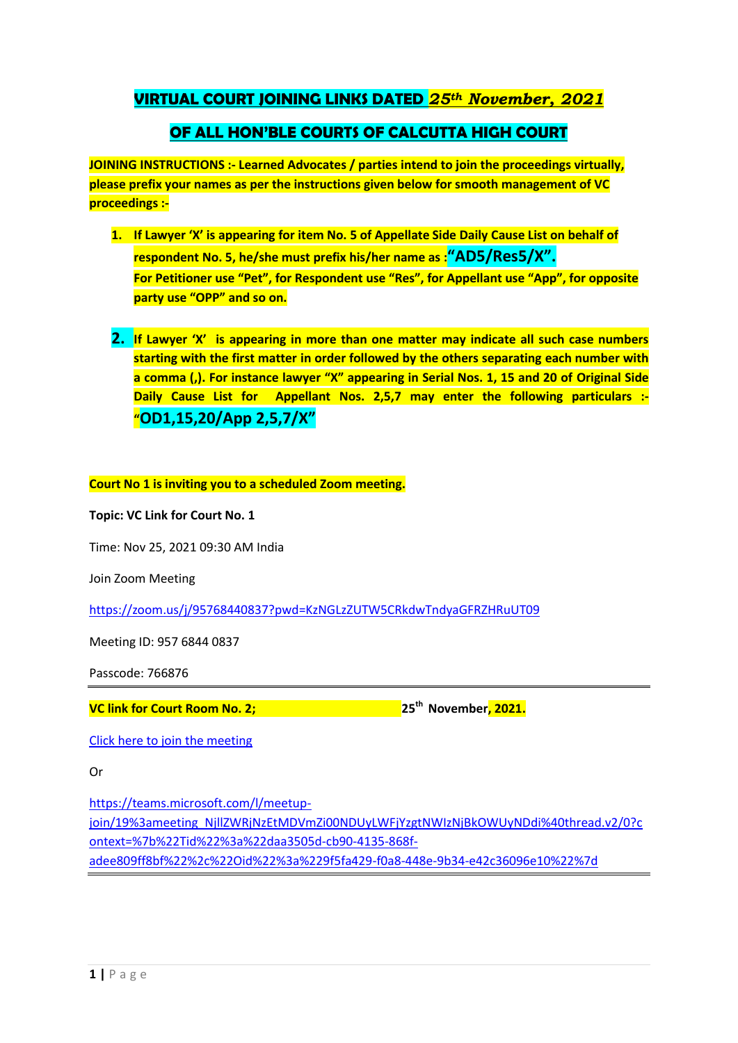## **VIRTUAL COURT JOINING LINKS DATED** *25th November, 2021*

## **OF ALL HON'BLE COURTS OF CALCUTTA HIGH COURT**

**JOINING INSTRUCTIONS :- Learned Advocates / parties intend to join the proceedings virtually, please prefix your names as per the instructions given below for smooth management of VC proceedings :-**

- **1. If Lawyer 'X' is appearing for item No. 5 of Appellate Side Daily Cause List on behalf of respondent No. 5, he/she must prefix his/her name as :"AD5/Res5/X". For Petitioner use "Pet", for Respondent use "Res", for Appellant use "App", for opposite party use "OPP" and so on.**
- **2. If Lawyer 'X' is appearing in more than one matter may indicate all such case numbers starting with the first matter in order followed by the others separating each number with a comma (,). For instance lawyer "X" appearing in Serial Nos. 1, 15 and 20 of Original Side Daily Cause List for Appellant Nos. 2,5,7 may enter the following particulars :- "OD1,15,20/App 2,5,7/X"**

**Court No 1 is inviting you to a scheduled Zoom meeting.**

**Topic: VC Link for Court No. 1**

Time: Nov 25, 2021 09:30 AM India

Join Zoom Meeting

<https://zoom.us/j/95768440837?pwd=KzNGLzZUTW5CRkdwTndyaGFRZHRuUT09>

Meeting ID: 957 6844 0837

Passcode: 766876

**VC link for Court Room No. 2; 25th November, 2021.**

[Click here to join the meeting](https://teams.microsoft.com/l/meetup-join/19%3ameeting_NjllZWRjNzEtMDVmZi00NDUyLWFjYzgtNWIzNjBkOWUyNDdi%40thread.v2/0?context=%7b%22Tid%22%3a%22daa3505d-cb90-4135-868f-adee809ff8bf%22%2c%22Oid%22%3a%229f5fa429-f0a8-448e-9b34-e42c36096e10%22%7d)

Or

[https://teams.microsoft.com/l/meetup](https://teams.microsoft.com/l/meetup-join/19%3ameeting_NjllZWRjNzEtMDVmZi00NDUyLWFjYzgtNWIzNjBkOWUyNDdi%40thread.v2/0?context=%7b%22Tid%22%3a%22daa3505d-cb90-4135-868f-adee809ff8bf%22%2c%22Oid%22%3a%229f5fa429-f0a8-448e-9b34-e42c36096e10%22%7d)[join/19%3ameeting\\_NjllZWRjNzEtMDVmZi00NDUyLWFjYzgtNWIzNjBkOWUyNDdi%40thread.v2/0?c](https://teams.microsoft.com/l/meetup-join/19%3ameeting_NjllZWRjNzEtMDVmZi00NDUyLWFjYzgtNWIzNjBkOWUyNDdi%40thread.v2/0?context=%7b%22Tid%22%3a%22daa3505d-cb90-4135-868f-adee809ff8bf%22%2c%22Oid%22%3a%229f5fa429-f0a8-448e-9b34-e42c36096e10%22%7d)

[ontext=%7b%22Tid%22%3a%22daa3505d-cb90-4135-868f-](https://teams.microsoft.com/l/meetup-join/19%3ameeting_NjllZWRjNzEtMDVmZi00NDUyLWFjYzgtNWIzNjBkOWUyNDdi%40thread.v2/0?context=%7b%22Tid%22%3a%22daa3505d-cb90-4135-868f-adee809ff8bf%22%2c%22Oid%22%3a%229f5fa429-f0a8-448e-9b34-e42c36096e10%22%7d)

[adee809ff8bf%22%2c%22Oid%22%3a%229f5fa429-f0a8-448e-9b34-e42c36096e10%22%7d](https://teams.microsoft.com/l/meetup-join/19%3ameeting_NjllZWRjNzEtMDVmZi00NDUyLWFjYzgtNWIzNjBkOWUyNDdi%40thread.v2/0?context=%7b%22Tid%22%3a%22daa3505d-cb90-4135-868f-adee809ff8bf%22%2c%22Oid%22%3a%229f5fa429-f0a8-448e-9b34-e42c36096e10%22%7d)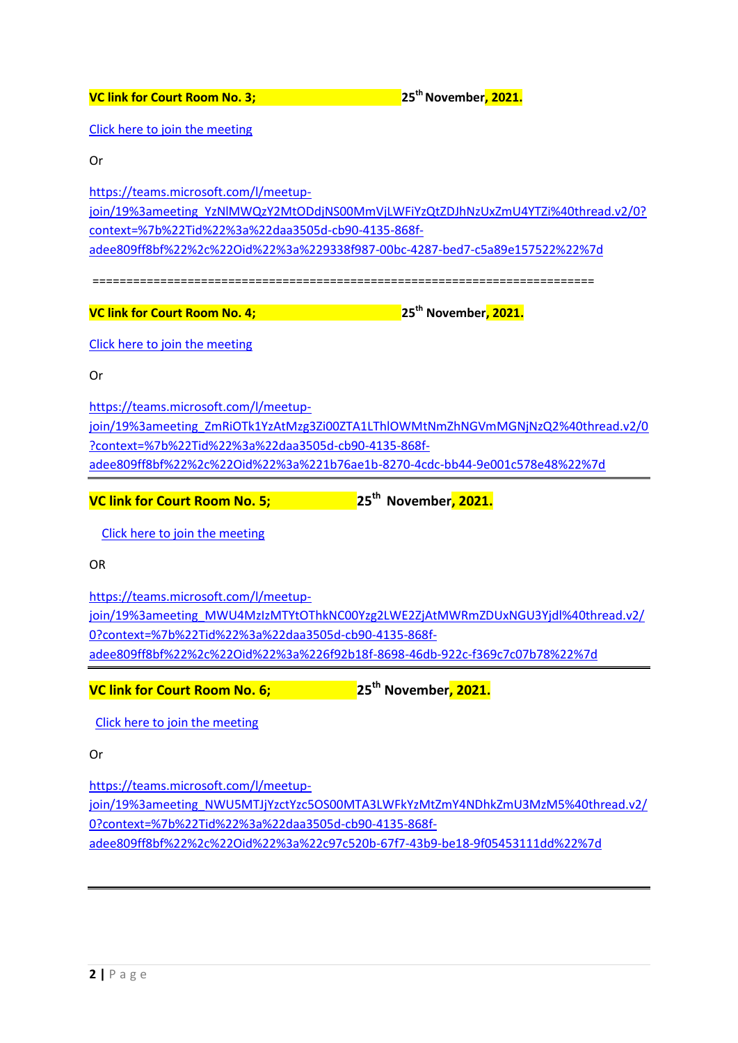**VC link for Court Room No. 3; 25thNovember, 2021.** [Click here to join the meeting](https://teams.microsoft.com/l/meetup-join/19%3ameeting_YzNlMWQzY2MtODdjNS00MmVjLWFiYzQtZDJhNzUxZmU4YTZi%40thread.v2/0?context=%7b%22Tid%22%3a%22daa3505d-cb90-4135-868f-adee809ff8bf%22%2c%22Oid%22%3a%229338f987-00bc-4287-bed7-c5a89e157522%22%7d) Or [https://teams.microsoft.com/l/meetup](https://teams.microsoft.com/l/meetup-join/19%3ameeting_YzNlMWQzY2MtODdjNS00MmVjLWFiYzQtZDJhNzUxZmU4YTZi%40thread.v2/0?context=%7b%22Tid%22%3a%22daa3505d-cb90-4135-868f-adee809ff8bf%22%2c%22Oid%22%3a%229338f987-00bc-4287-bed7-c5a89e157522%22%7d)[join/19%3ameeting\\_YzNlMWQzY2MtODdjNS00MmVjLWFiYzQtZDJhNzUxZmU4YTZi%40thread.v2/0?](https://teams.microsoft.com/l/meetup-join/19%3ameeting_YzNlMWQzY2MtODdjNS00MmVjLWFiYzQtZDJhNzUxZmU4YTZi%40thread.v2/0?context=%7b%22Tid%22%3a%22daa3505d-cb90-4135-868f-adee809ff8bf%22%2c%22Oid%22%3a%229338f987-00bc-4287-bed7-c5a89e157522%22%7d) [context=%7b%22Tid%22%3a%22daa3505d-cb90-4135-868f](https://teams.microsoft.com/l/meetup-join/19%3ameeting_YzNlMWQzY2MtODdjNS00MmVjLWFiYzQtZDJhNzUxZmU4YTZi%40thread.v2/0?context=%7b%22Tid%22%3a%22daa3505d-cb90-4135-868f-adee809ff8bf%22%2c%22Oid%22%3a%229338f987-00bc-4287-bed7-c5a89e157522%22%7d)[adee809ff8bf%22%2c%22Oid%22%3a%229338f987-00bc-4287-bed7-c5a89e157522%22%7d](https://teams.microsoft.com/l/meetup-join/19%3ameeting_YzNlMWQzY2MtODdjNS00MmVjLWFiYzQtZDJhNzUxZmU4YTZi%40thread.v2/0?context=%7b%22Tid%22%3a%22daa3505d-cb90-4135-868f-adee809ff8bf%22%2c%22Oid%22%3a%229338f987-00bc-4287-bed7-c5a89e157522%22%7d) ========================================================================== **VC link for Court Room No. 4; 25th November, 2021.** [Click here to join the meeting](https://teams.microsoft.com/l/meetup-join/19%3ameeting_ZmRiOTk1YzAtMzg3Zi00ZTA1LThlOWMtNmZhNGVmMGNjNzQ2%40thread.v2/0?context=%7b%22Tid%22%3a%22daa3505d-cb90-4135-868f-adee809ff8bf%22%2c%22Oid%22%3a%221b76ae1b-8270-4cdc-bb44-9e001c578e48%22%7d) Or [https://teams.microsoft.com/l/meetup](https://teams.microsoft.com/l/meetup-join/19%3ameeting_ZmRiOTk1YzAtMzg3Zi00ZTA1LThlOWMtNmZhNGVmMGNjNzQ2%40thread.v2/0?context=%7b%22Tid%22%3a%22daa3505d-cb90-4135-868f-adee809ff8bf%22%2c%22Oid%22%3a%221b76ae1b-8270-4cdc-bb44-9e001c578e48%22%7d)[join/19%3ameeting\\_ZmRiOTk1YzAtMzg3Zi00ZTA1LThlOWMtNmZhNGVmMGNjNzQ2%40thread.v2/0](https://teams.microsoft.com/l/meetup-join/19%3ameeting_ZmRiOTk1YzAtMzg3Zi00ZTA1LThlOWMtNmZhNGVmMGNjNzQ2%40thread.v2/0?context=%7b%22Tid%22%3a%22daa3505d-cb90-4135-868f-adee809ff8bf%22%2c%22Oid%22%3a%221b76ae1b-8270-4cdc-bb44-9e001c578e48%22%7d) [?context=%7b%22Tid%22%3a%22daa3505d-cb90-4135-868f](https://teams.microsoft.com/l/meetup-join/19%3ameeting_ZmRiOTk1YzAtMzg3Zi00ZTA1LThlOWMtNmZhNGVmMGNjNzQ2%40thread.v2/0?context=%7b%22Tid%22%3a%22daa3505d-cb90-4135-868f-adee809ff8bf%22%2c%22Oid%22%3a%221b76ae1b-8270-4cdc-bb44-9e001c578e48%22%7d)[adee809ff8bf%22%2c%22Oid%22%3a%221b76ae1b-8270-4cdc-bb44-9e001c578e48%22%7d](https://teams.microsoft.com/l/meetup-join/19%3ameeting_ZmRiOTk1YzAtMzg3Zi00ZTA1LThlOWMtNmZhNGVmMGNjNzQ2%40thread.v2/0?context=%7b%22Tid%22%3a%22daa3505d-cb90-4135-868f-adee809ff8bf%22%2c%22Oid%22%3a%221b76ae1b-8270-4cdc-bb44-9e001c578e48%22%7d) **VC link for Court Room No. 5; 25th November, 2021.** [Click here to join the meeting](https://teams.microsoft.com/l/meetup-join/19%3ameeting_MWU4MzIzMTYtOThkNC00Yzg2LWE2ZjAtMWRmZDUxNGU3Yjdl%40thread.v2/0?context=%7b%22Tid%22%3a%22daa3505d-cb90-4135-868f-adee809ff8bf%22%2c%22Oid%22%3a%226f92b18f-8698-46db-922c-f369c7c07b78%22%7d) OR [https://teams.microsoft.com/l/meetup-](https://teams.microsoft.com/l/meetup-join/19%3ameeting_MWU4MzIzMTYtOThkNC00Yzg2LWE2ZjAtMWRmZDUxNGU3Yjdl%40thread.v2/0?context=%7b%22Tid%22%3a%22daa3505d-cb90-4135-868f-adee809ff8bf%22%2c%22Oid%22%3a%226f92b18f-8698-46db-922c-f369c7c07b78%22%7d)

[join/19%3ameeting\\_MWU4MzIzMTYtOThkNC00Yzg2LWE2ZjAtMWRmZDUxNGU3Yjdl%40thread.v2/](https://teams.microsoft.com/l/meetup-join/19%3ameeting_MWU4MzIzMTYtOThkNC00Yzg2LWE2ZjAtMWRmZDUxNGU3Yjdl%40thread.v2/0?context=%7b%22Tid%22%3a%22daa3505d-cb90-4135-868f-adee809ff8bf%22%2c%22Oid%22%3a%226f92b18f-8698-46db-922c-f369c7c07b78%22%7d) [0?context=%7b%22Tid%22%3a%22daa3505d-cb90-4135-868f](https://teams.microsoft.com/l/meetup-join/19%3ameeting_MWU4MzIzMTYtOThkNC00Yzg2LWE2ZjAtMWRmZDUxNGU3Yjdl%40thread.v2/0?context=%7b%22Tid%22%3a%22daa3505d-cb90-4135-868f-adee809ff8bf%22%2c%22Oid%22%3a%226f92b18f-8698-46db-922c-f369c7c07b78%22%7d)[adee809ff8bf%22%2c%22Oid%22%3a%226f92b18f-8698-46db-922c-f369c7c07b78%22%7d](https://teams.microsoft.com/l/meetup-join/19%3ameeting_MWU4MzIzMTYtOThkNC00Yzg2LWE2ZjAtMWRmZDUxNGU3Yjdl%40thread.v2/0?context=%7b%22Tid%22%3a%22daa3505d-cb90-4135-868f-adee809ff8bf%22%2c%22Oid%22%3a%226f92b18f-8698-46db-922c-f369c7c07b78%22%7d)

**VC link for Court Room No. 6; 25th November, 2021.**

[Click here to join the meeting](https://teams.microsoft.com/l/meetup-join/19%3ameeting_NWU5MTJjYzctYzc5OS00MTA3LWFkYzMtZmY4NDhkZmU3MzM5%40thread.v2/0?context=%7b%22Tid%22%3a%22daa3505d-cb90-4135-868f-adee809ff8bf%22%2c%22Oid%22%3a%22c97c520b-67f7-43b9-be18-9f05453111dd%22%7d)

Or

[https://teams.microsoft.com/l/meetup](https://teams.microsoft.com/l/meetup-join/19%3ameeting_NWU5MTJjYzctYzc5OS00MTA3LWFkYzMtZmY4NDhkZmU3MzM5%40thread.v2/0?context=%7b%22Tid%22%3a%22daa3505d-cb90-4135-868f-adee809ff8bf%22%2c%22Oid%22%3a%22c97c520b-67f7-43b9-be18-9f05453111dd%22%7d)[join/19%3ameeting\\_NWU5MTJjYzctYzc5OS00MTA3LWFkYzMtZmY4NDhkZmU3MzM5%40thread.v2/](https://teams.microsoft.com/l/meetup-join/19%3ameeting_NWU5MTJjYzctYzc5OS00MTA3LWFkYzMtZmY4NDhkZmU3MzM5%40thread.v2/0?context=%7b%22Tid%22%3a%22daa3505d-cb90-4135-868f-adee809ff8bf%22%2c%22Oid%22%3a%22c97c520b-67f7-43b9-be18-9f05453111dd%22%7d) [0?context=%7b%22Tid%22%3a%22daa3505d-cb90-4135-868f](https://teams.microsoft.com/l/meetup-join/19%3ameeting_NWU5MTJjYzctYzc5OS00MTA3LWFkYzMtZmY4NDhkZmU3MzM5%40thread.v2/0?context=%7b%22Tid%22%3a%22daa3505d-cb90-4135-868f-adee809ff8bf%22%2c%22Oid%22%3a%22c97c520b-67f7-43b9-be18-9f05453111dd%22%7d)[adee809ff8bf%22%2c%22Oid%22%3a%22c97c520b-67f7-43b9-be18-9f05453111dd%22%7d](https://teams.microsoft.com/l/meetup-join/19%3ameeting_NWU5MTJjYzctYzc5OS00MTA3LWFkYzMtZmY4NDhkZmU3MzM5%40thread.v2/0?context=%7b%22Tid%22%3a%22daa3505d-cb90-4135-868f-adee809ff8bf%22%2c%22Oid%22%3a%22c97c520b-67f7-43b9-be18-9f05453111dd%22%7d)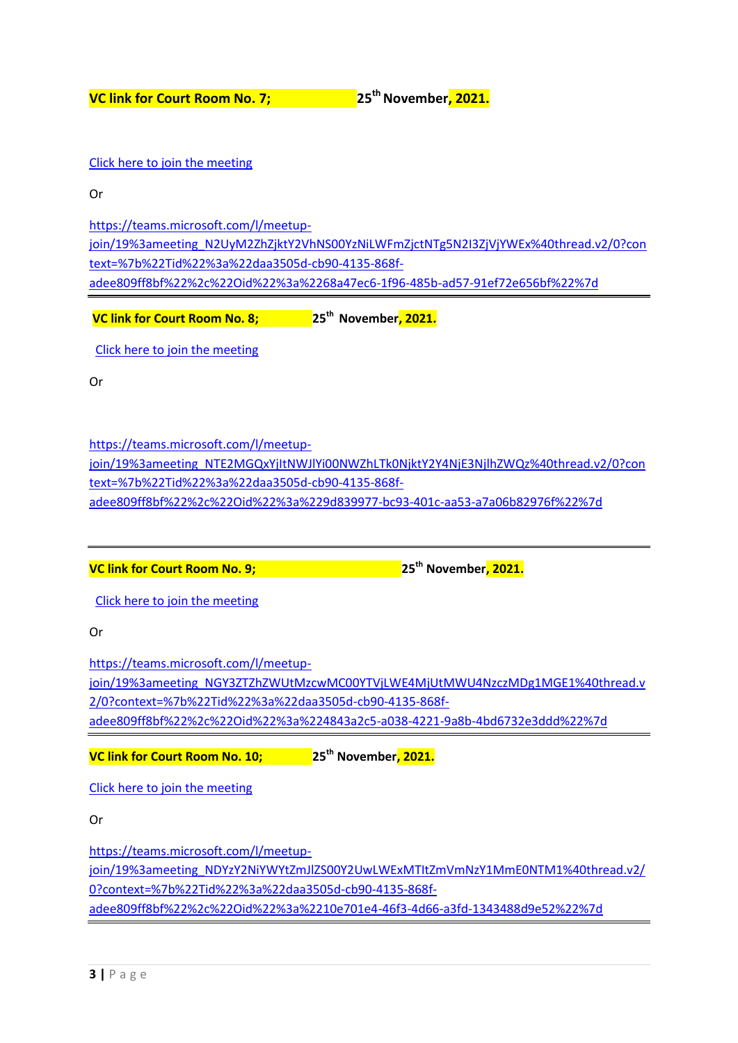**VC link for Court Room No. 7; 25thNovember, 2021.**

[Click here to join the meeting](https://teams.microsoft.com/l/meetup-join/19%3ameeting_N2UyM2ZhZjktY2VhNS00YzNiLWFmZjctNTg5N2I3ZjVjYWEx%40thread.v2/0?context=%7b%22Tid%22%3a%22daa3505d-cb90-4135-868f-adee809ff8bf%22%2c%22Oid%22%3a%2268a47ec6-1f96-485b-ad57-91ef72e656bf%22%7d)

Or

[https://teams.microsoft.com/l/meetup-](https://teams.microsoft.com/l/meetup-join/19%3ameeting_N2UyM2ZhZjktY2VhNS00YzNiLWFmZjctNTg5N2I3ZjVjYWEx%40thread.v2/0?context=%7b%22Tid%22%3a%22daa3505d-cb90-4135-868f-adee809ff8bf%22%2c%22Oid%22%3a%2268a47ec6-1f96-485b-ad57-91ef72e656bf%22%7d)

[join/19%3ameeting\\_N2UyM2ZhZjktY2VhNS00YzNiLWFmZjctNTg5N2I3ZjVjYWEx%40thread.v2/0?con](https://teams.microsoft.com/l/meetup-join/19%3ameeting_N2UyM2ZhZjktY2VhNS00YzNiLWFmZjctNTg5N2I3ZjVjYWEx%40thread.v2/0?context=%7b%22Tid%22%3a%22daa3505d-cb90-4135-868f-adee809ff8bf%22%2c%22Oid%22%3a%2268a47ec6-1f96-485b-ad57-91ef72e656bf%22%7d) [text=%7b%22Tid%22%3a%22daa3505d-cb90-4135-868f](https://teams.microsoft.com/l/meetup-join/19%3ameeting_N2UyM2ZhZjktY2VhNS00YzNiLWFmZjctNTg5N2I3ZjVjYWEx%40thread.v2/0?context=%7b%22Tid%22%3a%22daa3505d-cb90-4135-868f-adee809ff8bf%22%2c%22Oid%22%3a%2268a47ec6-1f96-485b-ad57-91ef72e656bf%22%7d)[adee809ff8bf%22%2c%22Oid%22%3a%2268a47ec6-1f96-485b-ad57-91ef72e656bf%22%7d](https://teams.microsoft.com/l/meetup-join/19%3ameeting_N2UyM2ZhZjktY2VhNS00YzNiLWFmZjctNTg5N2I3ZjVjYWEx%40thread.v2/0?context=%7b%22Tid%22%3a%22daa3505d-cb90-4135-868f-adee809ff8bf%22%2c%22Oid%22%3a%2268a47ec6-1f96-485b-ad57-91ef72e656bf%22%7d)

**VC link for Court Room No. 8; 25th November, 2021.**

[Click here to join the meeting](https://teams.microsoft.com/l/meetup-join/19%3ameeting_NTE2MGQxYjItNWJlYi00NWZhLTk0NjktY2Y4NjE3NjlhZWQz%40thread.v2/0?context=%7b%22Tid%22%3a%22daa3505d-cb90-4135-868f-adee809ff8bf%22%2c%22Oid%22%3a%229d839977-bc93-401c-aa53-a7a06b82976f%22%7d)

Or

[https://teams.microsoft.com/l/meetup-](https://teams.microsoft.com/l/meetup-join/19%3ameeting_NTE2MGQxYjItNWJlYi00NWZhLTk0NjktY2Y4NjE3NjlhZWQz%40thread.v2/0?context=%7b%22Tid%22%3a%22daa3505d-cb90-4135-868f-adee809ff8bf%22%2c%22Oid%22%3a%229d839977-bc93-401c-aa53-a7a06b82976f%22%7d)

[join/19%3ameeting\\_NTE2MGQxYjItNWJlYi00NWZhLTk0NjktY2Y4NjE3NjlhZWQz%40thread.v2/0?con](https://teams.microsoft.com/l/meetup-join/19%3ameeting_NTE2MGQxYjItNWJlYi00NWZhLTk0NjktY2Y4NjE3NjlhZWQz%40thread.v2/0?context=%7b%22Tid%22%3a%22daa3505d-cb90-4135-868f-adee809ff8bf%22%2c%22Oid%22%3a%229d839977-bc93-401c-aa53-a7a06b82976f%22%7d) [text=%7b%22Tid%22%3a%22daa3505d-cb90-4135-868f](https://teams.microsoft.com/l/meetup-join/19%3ameeting_NTE2MGQxYjItNWJlYi00NWZhLTk0NjktY2Y4NjE3NjlhZWQz%40thread.v2/0?context=%7b%22Tid%22%3a%22daa3505d-cb90-4135-868f-adee809ff8bf%22%2c%22Oid%22%3a%229d839977-bc93-401c-aa53-a7a06b82976f%22%7d)[adee809ff8bf%22%2c%22Oid%22%3a%229d839977-bc93-401c-aa53-a7a06b82976f%22%7d](https://teams.microsoft.com/l/meetup-join/19%3ameeting_NTE2MGQxYjItNWJlYi00NWZhLTk0NjktY2Y4NjE3NjlhZWQz%40thread.v2/0?context=%7b%22Tid%22%3a%22daa3505d-cb90-4135-868f-adee809ff8bf%22%2c%22Oid%22%3a%229d839977-bc93-401c-aa53-a7a06b82976f%22%7d)

**VC link for Court Room No. 9; 25th November, 2021.**

[Click here to join the meeting](https://teams.microsoft.com/l/meetup-join/19%3ameeting_NGY3ZTZhZWUtMzcwMC00YTVjLWE4MjUtMWU4NzczMDg1MGE1%40thread.v2/0?context=%7b%22Tid%22%3a%22daa3505d-cb90-4135-868f-adee809ff8bf%22%2c%22Oid%22%3a%224843a2c5-a038-4221-9a8b-4bd6732e3ddd%22%7d)

Or

[https://teams.microsoft.com/l/meetup](https://teams.microsoft.com/l/meetup-join/19%3ameeting_NGY3ZTZhZWUtMzcwMC00YTVjLWE4MjUtMWU4NzczMDg1MGE1%40thread.v2/0?context=%7b%22Tid%22%3a%22daa3505d-cb90-4135-868f-adee809ff8bf%22%2c%22Oid%22%3a%224843a2c5-a038-4221-9a8b-4bd6732e3ddd%22%7d)[join/19%3ameeting\\_NGY3ZTZhZWUtMzcwMC00YTVjLWE4MjUtMWU4NzczMDg1MGE1%40thread.v](https://teams.microsoft.com/l/meetup-join/19%3ameeting_NGY3ZTZhZWUtMzcwMC00YTVjLWE4MjUtMWU4NzczMDg1MGE1%40thread.v2/0?context=%7b%22Tid%22%3a%22daa3505d-cb90-4135-868f-adee809ff8bf%22%2c%22Oid%22%3a%224843a2c5-a038-4221-9a8b-4bd6732e3ddd%22%7d) [2/0?context=%7b%22Tid%22%3a%22daa3505d-cb90-4135-868f](https://teams.microsoft.com/l/meetup-join/19%3ameeting_NGY3ZTZhZWUtMzcwMC00YTVjLWE4MjUtMWU4NzczMDg1MGE1%40thread.v2/0?context=%7b%22Tid%22%3a%22daa3505d-cb90-4135-868f-adee809ff8bf%22%2c%22Oid%22%3a%224843a2c5-a038-4221-9a8b-4bd6732e3ddd%22%7d)[adee809ff8bf%22%2c%22Oid%22%3a%224843a2c5-a038-4221-9a8b-4bd6732e3ddd%22%7d](https://teams.microsoft.com/l/meetup-join/19%3ameeting_NGY3ZTZhZWUtMzcwMC00YTVjLWE4MjUtMWU4NzczMDg1MGE1%40thread.v2/0?context=%7b%22Tid%22%3a%22daa3505d-cb90-4135-868f-adee809ff8bf%22%2c%22Oid%22%3a%224843a2c5-a038-4221-9a8b-4bd6732e3ddd%22%7d)

**VC link for Court Room No. 10; 25th November, 2021.**

[Click here to join the meeting](https://teams.microsoft.com/l/meetup-join/19%3ameeting_NDYzY2NiYWYtZmJlZS00Y2UwLWExMTItZmVmNzY1MmE0NTM1%40thread.v2/0?context=%7b%22Tid%22%3a%22daa3505d-cb90-4135-868f-adee809ff8bf%22%2c%22Oid%22%3a%2210e701e4-46f3-4d66-a3fd-1343488d9e52%22%7d)

Or

[https://teams.microsoft.com/l/meetup](https://teams.microsoft.com/l/meetup-join/19%3ameeting_NDYzY2NiYWYtZmJlZS00Y2UwLWExMTItZmVmNzY1MmE0NTM1%40thread.v2/0?context=%7b%22Tid%22%3a%22daa3505d-cb90-4135-868f-adee809ff8bf%22%2c%22Oid%22%3a%2210e701e4-46f3-4d66-a3fd-1343488d9e52%22%7d)[join/19%3ameeting\\_NDYzY2NiYWYtZmJlZS00Y2UwLWExMTItZmVmNzY1MmE0NTM1%40thread.v2/](https://teams.microsoft.com/l/meetup-join/19%3ameeting_NDYzY2NiYWYtZmJlZS00Y2UwLWExMTItZmVmNzY1MmE0NTM1%40thread.v2/0?context=%7b%22Tid%22%3a%22daa3505d-cb90-4135-868f-adee809ff8bf%22%2c%22Oid%22%3a%2210e701e4-46f3-4d66-a3fd-1343488d9e52%22%7d) [0?context=%7b%22Tid%22%3a%22daa3505d-cb90-4135-868f](https://teams.microsoft.com/l/meetup-join/19%3ameeting_NDYzY2NiYWYtZmJlZS00Y2UwLWExMTItZmVmNzY1MmE0NTM1%40thread.v2/0?context=%7b%22Tid%22%3a%22daa3505d-cb90-4135-868f-adee809ff8bf%22%2c%22Oid%22%3a%2210e701e4-46f3-4d66-a3fd-1343488d9e52%22%7d)[adee809ff8bf%22%2c%22Oid%22%3a%2210e701e4-46f3-4d66-a3fd-1343488d9e52%22%7d](https://teams.microsoft.com/l/meetup-join/19%3ameeting_NDYzY2NiYWYtZmJlZS00Y2UwLWExMTItZmVmNzY1MmE0NTM1%40thread.v2/0?context=%7b%22Tid%22%3a%22daa3505d-cb90-4135-868f-adee809ff8bf%22%2c%22Oid%22%3a%2210e701e4-46f3-4d66-a3fd-1343488d9e52%22%7d)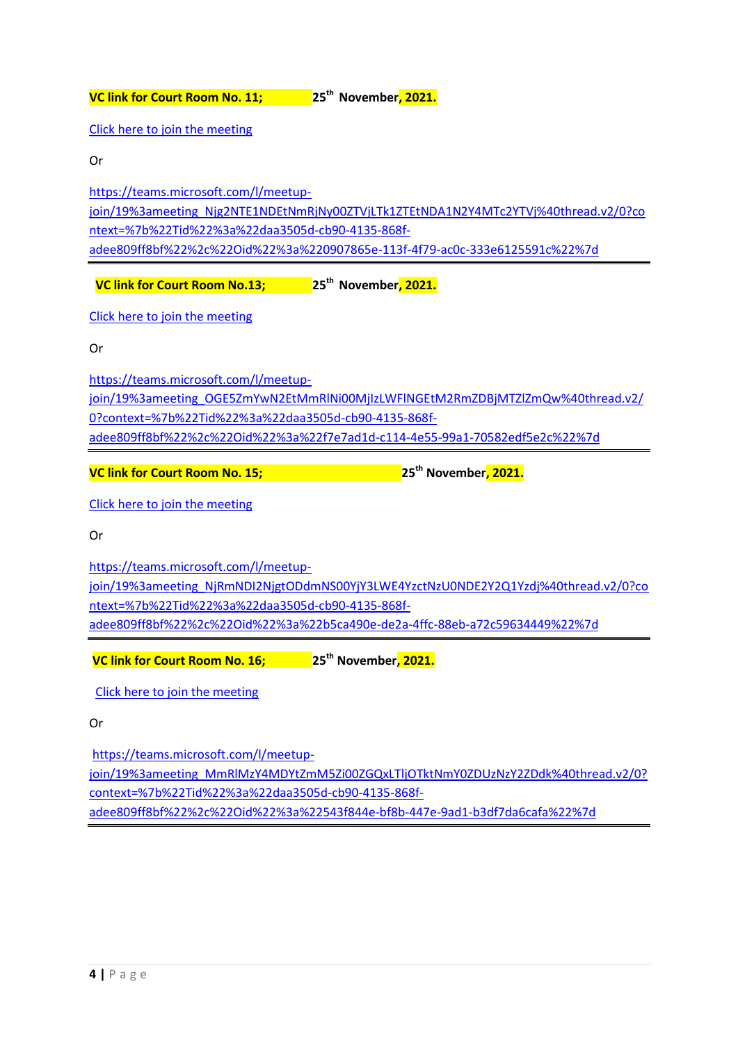**VC link for Court Room No. 11; 25th November, 2021.**

[Click here to join the meeting](https://teams.microsoft.com/l/meetup-join/19%3ameeting_Njg2NTE1NDEtNmRjNy00ZTVjLTk1ZTEtNDA1N2Y4MTc2YTVj%40thread.v2/0?context=%7b%22Tid%22%3a%22daa3505d-cb90-4135-868f-adee809ff8bf%22%2c%22Oid%22%3a%220907865e-113f-4f79-ac0c-333e6125591c%22%7d)

Or

[https://teams.microsoft.com/l/meetup-](https://teams.microsoft.com/l/meetup-join/19%3ameeting_Njg2NTE1NDEtNmRjNy00ZTVjLTk1ZTEtNDA1N2Y4MTc2YTVj%40thread.v2/0?context=%7b%22Tid%22%3a%22daa3505d-cb90-4135-868f-adee809ff8bf%22%2c%22Oid%22%3a%220907865e-113f-4f79-ac0c-333e6125591c%22%7d)

[join/19%3ameeting\\_Njg2NTE1NDEtNmRjNy00ZTVjLTk1ZTEtNDA1N2Y4MTc2YTVj%40thread.v2/0?co](https://teams.microsoft.com/l/meetup-join/19%3ameeting_Njg2NTE1NDEtNmRjNy00ZTVjLTk1ZTEtNDA1N2Y4MTc2YTVj%40thread.v2/0?context=%7b%22Tid%22%3a%22daa3505d-cb90-4135-868f-adee809ff8bf%22%2c%22Oid%22%3a%220907865e-113f-4f79-ac0c-333e6125591c%22%7d) [ntext=%7b%22Tid%22%3a%22daa3505d-cb90-4135-868f](https://teams.microsoft.com/l/meetup-join/19%3ameeting_Njg2NTE1NDEtNmRjNy00ZTVjLTk1ZTEtNDA1N2Y4MTc2YTVj%40thread.v2/0?context=%7b%22Tid%22%3a%22daa3505d-cb90-4135-868f-adee809ff8bf%22%2c%22Oid%22%3a%220907865e-113f-4f79-ac0c-333e6125591c%22%7d)[adee809ff8bf%22%2c%22Oid%22%3a%220907865e-113f-4f79-ac0c-333e6125591c%22%7d](https://teams.microsoft.com/l/meetup-join/19%3ameeting_Njg2NTE1NDEtNmRjNy00ZTVjLTk1ZTEtNDA1N2Y4MTc2YTVj%40thread.v2/0?context=%7b%22Tid%22%3a%22daa3505d-cb90-4135-868f-adee809ff8bf%22%2c%22Oid%22%3a%220907865e-113f-4f79-ac0c-333e6125591c%22%7d)

**VC link for Court Room No.13; 25th November, 2021.**

[Click here to join the meeting](https://teams.microsoft.com/l/meetup-join/19%3ameeting_OGE5ZmYwN2EtMmRlNi00MjIzLWFlNGEtM2RmZDBjMTZlZmQw%40thread.v2/0?context=%7b%22Tid%22%3a%22daa3505d-cb90-4135-868f-adee809ff8bf%22%2c%22Oid%22%3a%22f7e7ad1d-c114-4e55-99a1-70582edf5e2c%22%7d)

Or

[https://teams.microsoft.com/l/meetup](https://teams.microsoft.com/l/meetup-join/19%3ameeting_OGE5ZmYwN2EtMmRlNi00MjIzLWFlNGEtM2RmZDBjMTZlZmQw%40thread.v2/0?context=%7b%22Tid%22%3a%22daa3505d-cb90-4135-868f-adee809ff8bf%22%2c%22Oid%22%3a%22f7e7ad1d-c114-4e55-99a1-70582edf5e2c%22%7d)[join/19%3ameeting\\_OGE5ZmYwN2EtMmRlNi00MjIzLWFlNGEtM2RmZDBjMTZlZmQw%40thread.v2/](https://teams.microsoft.com/l/meetup-join/19%3ameeting_OGE5ZmYwN2EtMmRlNi00MjIzLWFlNGEtM2RmZDBjMTZlZmQw%40thread.v2/0?context=%7b%22Tid%22%3a%22daa3505d-cb90-4135-868f-adee809ff8bf%22%2c%22Oid%22%3a%22f7e7ad1d-c114-4e55-99a1-70582edf5e2c%22%7d) [0?context=%7b%22Tid%22%3a%22daa3505d-cb90-4135-868f](https://teams.microsoft.com/l/meetup-join/19%3ameeting_OGE5ZmYwN2EtMmRlNi00MjIzLWFlNGEtM2RmZDBjMTZlZmQw%40thread.v2/0?context=%7b%22Tid%22%3a%22daa3505d-cb90-4135-868f-adee809ff8bf%22%2c%22Oid%22%3a%22f7e7ad1d-c114-4e55-99a1-70582edf5e2c%22%7d)[adee809ff8bf%22%2c%22Oid%22%3a%22f7e7ad1d-c114-4e55-99a1-70582edf5e2c%22%7d](https://teams.microsoft.com/l/meetup-join/19%3ameeting_OGE5ZmYwN2EtMmRlNi00MjIzLWFlNGEtM2RmZDBjMTZlZmQw%40thread.v2/0?context=%7b%22Tid%22%3a%22daa3505d-cb90-4135-868f-adee809ff8bf%22%2c%22Oid%22%3a%22f7e7ad1d-c114-4e55-99a1-70582edf5e2c%22%7d)

**VC link for Court Room No. 15; 25th November, 2021.**

[Click here to join the meeting](https://teams.microsoft.com/l/meetup-join/19%3ameeting_NjRmNDI2NjgtODdmNS00YjY3LWE4YzctNzU0NDE2Y2Q1Yzdj%40thread.v2/0?context=%7b%22Tid%22%3a%22daa3505d-cb90-4135-868f-adee809ff8bf%22%2c%22Oid%22%3a%22b5ca490e-de2a-4ffc-88eb-a72c59634449%22%7d)

Or

[https://teams.microsoft.com/l/meetup](https://teams.microsoft.com/l/meetup-join/19%3ameeting_NjRmNDI2NjgtODdmNS00YjY3LWE4YzctNzU0NDE2Y2Q1Yzdj%40thread.v2/0?context=%7b%22Tid%22%3a%22daa3505d-cb90-4135-868f-adee809ff8bf%22%2c%22Oid%22%3a%22b5ca490e-de2a-4ffc-88eb-a72c59634449%22%7d)[join/19%3ameeting\\_NjRmNDI2NjgtODdmNS00YjY3LWE4YzctNzU0NDE2Y2Q1Yzdj%40thread.v2/0?co](https://teams.microsoft.com/l/meetup-join/19%3ameeting_NjRmNDI2NjgtODdmNS00YjY3LWE4YzctNzU0NDE2Y2Q1Yzdj%40thread.v2/0?context=%7b%22Tid%22%3a%22daa3505d-cb90-4135-868f-adee809ff8bf%22%2c%22Oid%22%3a%22b5ca490e-de2a-4ffc-88eb-a72c59634449%22%7d) [ntext=%7b%22Tid%22%3a%22daa3505d-cb90-4135-868f](https://teams.microsoft.com/l/meetup-join/19%3ameeting_NjRmNDI2NjgtODdmNS00YjY3LWE4YzctNzU0NDE2Y2Q1Yzdj%40thread.v2/0?context=%7b%22Tid%22%3a%22daa3505d-cb90-4135-868f-adee809ff8bf%22%2c%22Oid%22%3a%22b5ca490e-de2a-4ffc-88eb-a72c59634449%22%7d)[adee809ff8bf%22%2c%22Oid%22%3a%22b5ca490e-de2a-4ffc-88eb-a72c59634449%22%7d](https://teams.microsoft.com/l/meetup-join/19%3ameeting_NjRmNDI2NjgtODdmNS00YjY3LWE4YzctNzU0NDE2Y2Q1Yzdj%40thread.v2/0?context=%7b%22Tid%22%3a%22daa3505d-cb90-4135-868f-adee809ff8bf%22%2c%22Oid%22%3a%22b5ca490e-de2a-4ffc-88eb-a72c59634449%22%7d)

**VC link for Court Room No. 16; 25th November, 2021.**

[Click here to join the meeting](https://teams.microsoft.com/l/meetup-join/19%3ameeting_MmRlMzY4MDYtZmM5Zi00ZGQxLTljOTktNmY0ZDUzNzY2ZDdk%40thread.v2/0?context=%7b%22Tid%22%3a%22daa3505d-cb90-4135-868f-adee809ff8bf%22%2c%22Oid%22%3a%22543f844e-bf8b-447e-9ad1-b3df7da6cafa%22%7d)

Or

[https://teams.microsoft.com/l/meetup](https://teams.microsoft.com/l/meetup-join/19%3ameeting_MmRlMzY4MDYtZmM5Zi00ZGQxLTljOTktNmY0ZDUzNzY2ZDdk%40thread.v2/0?context=%7b%22Tid%22%3a%22daa3505d-cb90-4135-868f-adee809ff8bf%22%2c%22Oid%22%3a%22543f844e-bf8b-447e-9ad1-b3df7da6cafa%22%7d)[join/19%3ameeting\\_MmRlMzY4MDYtZmM5Zi00ZGQxLTljOTktNmY0ZDUzNzY2ZDdk%40thread.v2/0?](https://teams.microsoft.com/l/meetup-join/19%3ameeting_MmRlMzY4MDYtZmM5Zi00ZGQxLTljOTktNmY0ZDUzNzY2ZDdk%40thread.v2/0?context=%7b%22Tid%22%3a%22daa3505d-cb90-4135-868f-adee809ff8bf%22%2c%22Oid%22%3a%22543f844e-bf8b-447e-9ad1-b3df7da6cafa%22%7d) [context=%7b%22Tid%22%3a%22daa3505d-cb90-4135-868f](https://teams.microsoft.com/l/meetup-join/19%3ameeting_MmRlMzY4MDYtZmM5Zi00ZGQxLTljOTktNmY0ZDUzNzY2ZDdk%40thread.v2/0?context=%7b%22Tid%22%3a%22daa3505d-cb90-4135-868f-adee809ff8bf%22%2c%22Oid%22%3a%22543f844e-bf8b-447e-9ad1-b3df7da6cafa%22%7d)[adee809ff8bf%22%2c%22Oid%22%3a%22543f844e-bf8b-447e-9ad1-b3df7da6cafa%22%7d](https://teams.microsoft.com/l/meetup-join/19%3ameeting_MmRlMzY4MDYtZmM5Zi00ZGQxLTljOTktNmY0ZDUzNzY2ZDdk%40thread.v2/0?context=%7b%22Tid%22%3a%22daa3505d-cb90-4135-868f-adee809ff8bf%22%2c%22Oid%22%3a%22543f844e-bf8b-447e-9ad1-b3df7da6cafa%22%7d)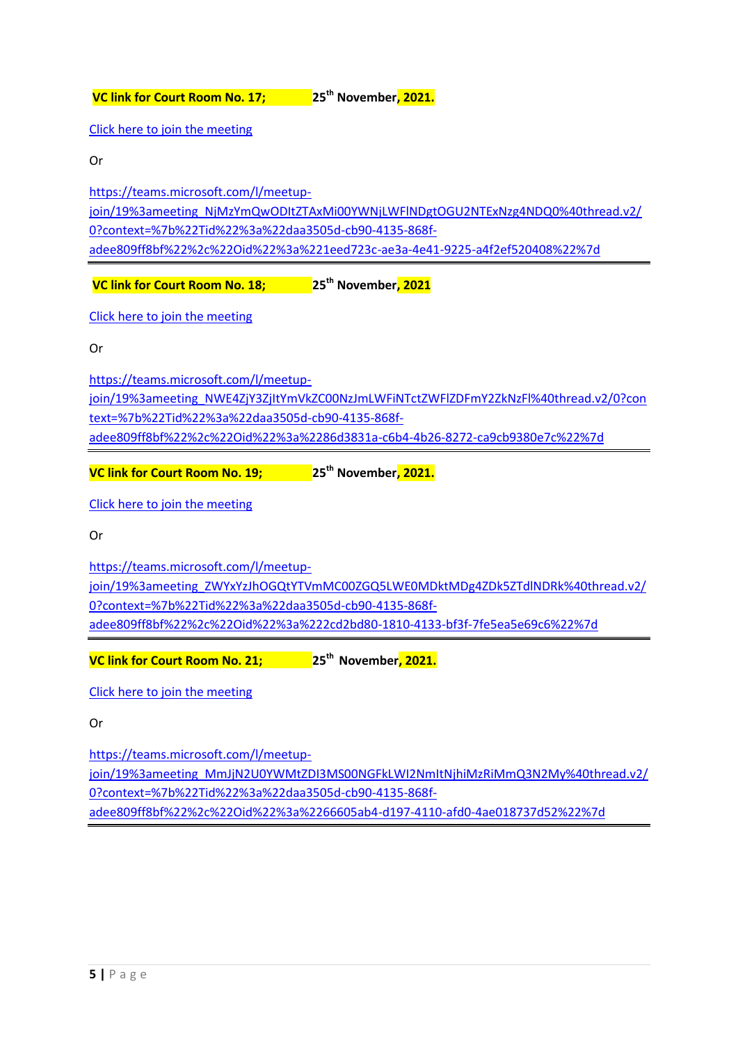**VC link for Court Room No. 17; 25th November, 2021.**

[Click here to join the meeting](https://teams.microsoft.com/l/meetup-join/19%3ameeting_NjMzYmQwODItZTAxMi00YWNjLWFlNDgtOGU2NTExNzg4NDQ0%40thread.v2/0?context=%7b%22Tid%22%3a%22daa3505d-cb90-4135-868f-adee809ff8bf%22%2c%22Oid%22%3a%221eed723c-ae3a-4e41-9225-a4f2ef520408%22%7d)

Or

[https://teams.microsoft.com/l/meetup](https://teams.microsoft.com/l/meetup-join/19%3ameeting_NjMzYmQwODItZTAxMi00YWNjLWFlNDgtOGU2NTExNzg4NDQ0%40thread.v2/0?context=%7b%22Tid%22%3a%22daa3505d-cb90-4135-868f-adee809ff8bf%22%2c%22Oid%22%3a%221eed723c-ae3a-4e41-9225-a4f2ef520408%22%7d)[join/19%3ameeting\\_NjMzYmQwODItZTAxMi00YWNjLWFlNDgtOGU2NTExNzg4NDQ0%40thread.v2/](https://teams.microsoft.com/l/meetup-join/19%3ameeting_NjMzYmQwODItZTAxMi00YWNjLWFlNDgtOGU2NTExNzg4NDQ0%40thread.v2/0?context=%7b%22Tid%22%3a%22daa3505d-cb90-4135-868f-adee809ff8bf%22%2c%22Oid%22%3a%221eed723c-ae3a-4e41-9225-a4f2ef520408%22%7d) [0?context=%7b%22Tid%22%3a%22daa3505d-cb90-4135-868f](https://teams.microsoft.com/l/meetup-join/19%3ameeting_NjMzYmQwODItZTAxMi00YWNjLWFlNDgtOGU2NTExNzg4NDQ0%40thread.v2/0?context=%7b%22Tid%22%3a%22daa3505d-cb90-4135-868f-adee809ff8bf%22%2c%22Oid%22%3a%221eed723c-ae3a-4e41-9225-a4f2ef520408%22%7d)[adee809ff8bf%22%2c%22Oid%22%3a%221eed723c-ae3a-4e41-9225-a4f2ef520408%22%7d](https://teams.microsoft.com/l/meetup-join/19%3ameeting_NjMzYmQwODItZTAxMi00YWNjLWFlNDgtOGU2NTExNzg4NDQ0%40thread.v2/0?context=%7b%22Tid%22%3a%22daa3505d-cb90-4135-868f-adee809ff8bf%22%2c%22Oid%22%3a%221eed723c-ae3a-4e41-9225-a4f2ef520408%22%7d)

**VC link for Court Room No. 18; 25th November, 2021**

[Click here to join the meeting](https://teams.microsoft.com/l/meetup-join/19%3ameeting_NWE4ZjY3ZjItYmVkZC00NzJmLWFiNTctZWFlZDFmY2ZkNzFl%40thread.v2/0?context=%7b%22Tid%22%3a%22daa3505d-cb90-4135-868f-adee809ff8bf%22%2c%22Oid%22%3a%2286d3831a-c6b4-4b26-8272-ca9cb9380e7c%22%7d)

Or

[https://teams.microsoft.com/l/meetup](https://teams.microsoft.com/l/meetup-join/19%3ameeting_NWE4ZjY3ZjItYmVkZC00NzJmLWFiNTctZWFlZDFmY2ZkNzFl%40thread.v2/0?context=%7b%22Tid%22%3a%22daa3505d-cb90-4135-868f-adee809ff8bf%22%2c%22Oid%22%3a%2286d3831a-c6b4-4b26-8272-ca9cb9380e7c%22%7d)[join/19%3ameeting\\_NWE4ZjY3ZjItYmVkZC00NzJmLWFiNTctZWFlZDFmY2ZkNzFl%40thread.v2/0?con](https://teams.microsoft.com/l/meetup-join/19%3ameeting_NWE4ZjY3ZjItYmVkZC00NzJmLWFiNTctZWFlZDFmY2ZkNzFl%40thread.v2/0?context=%7b%22Tid%22%3a%22daa3505d-cb90-4135-868f-adee809ff8bf%22%2c%22Oid%22%3a%2286d3831a-c6b4-4b26-8272-ca9cb9380e7c%22%7d) [text=%7b%22Tid%22%3a%22daa3505d-cb90-4135-868f](https://teams.microsoft.com/l/meetup-join/19%3ameeting_NWE4ZjY3ZjItYmVkZC00NzJmLWFiNTctZWFlZDFmY2ZkNzFl%40thread.v2/0?context=%7b%22Tid%22%3a%22daa3505d-cb90-4135-868f-adee809ff8bf%22%2c%22Oid%22%3a%2286d3831a-c6b4-4b26-8272-ca9cb9380e7c%22%7d)[adee809ff8bf%22%2c%22Oid%22%3a%2286d3831a-c6b4-4b26-8272-ca9cb9380e7c%22%7d](https://teams.microsoft.com/l/meetup-join/19%3ameeting_NWE4ZjY3ZjItYmVkZC00NzJmLWFiNTctZWFlZDFmY2ZkNzFl%40thread.v2/0?context=%7b%22Tid%22%3a%22daa3505d-cb90-4135-868f-adee809ff8bf%22%2c%22Oid%22%3a%2286d3831a-c6b4-4b26-8272-ca9cb9380e7c%22%7d)

**VC link for Court Room No. 19; 25th November, 2021.**

[Click here to join the meeting](https://teams.microsoft.com/l/meetup-join/19%3ameeting_ZWYxYzJhOGQtYTVmMC00ZGQ5LWE0MDktMDg4ZDk5ZTdlNDRk%40thread.v2/0?context=%7b%22Tid%22%3a%22daa3505d-cb90-4135-868f-adee809ff8bf%22%2c%22Oid%22%3a%222cd2bd80-1810-4133-bf3f-7fe5ea5e69c6%22%7d)

Or

[https://teams.microsoft.com/l/meetup](https://teams.microsoft.com/l/meetup-join/19%3ameeting_ZWYxYzJhOGQtYTVmMC00ZGQ5LWE0MDktMDg4ZDk5ZTdlNDRk%40thread.v2/0?context=%7b%22Tid%22%3a%22daa3505d-cb90-4135-868f-adee809ff8bf%22%2c%22Oid%22%3a%222cd2bd80-1810-4133-bf3f-7fe5ea5e69c6%22%7d)[join/19%3ameeting\\_ZWYxYzJhOGQtYTVmMC00ZGQ5LWE0MDktMDg4ZDk5ZTdlNDRk%40thread.v2/](https://teams.microsoft.com/l/meetup-join/19%3ameeting_ZWYxYzJhOGQtYTVmMC00ZGQ5LWE0MDktMDg4ZDk5ZTdlNDRk%40thread.v2/0?context=%7b%22Tid%22%3a%22daa3505d-cb90-4135-868f-adee809ff8bf%22%2c%22Oid%22%3a%222cd2bd80-1810-4133-bf3f-7fe5ea5e69c6%22%7d) [0?context=%7b%22Tid%22%3a%22daa3505d-cb90-4135-868f](https://teams.microsoft.com/l/meetup-join/19%3ameeting_ZWYxYzJhOGQtYTVmMC00ZGQ5LWE0MDktMDg4ZDk5ZTdlNDRk%40thread.v2/0?context=%7b%22Tid%22%3a%22daa3505d-cb90-4135-868f-adee809ff8bf%22%2c%22Oid%22%3a%222cd2bd80-1810-4133-bf3f-7fe5ea5e69c6%22%7d)[adee809ff8bf%22%2c%22Oid%22%3a%222cd2bd80-1810-4133-bf3f-7fe5ea5e69c6%22%7d](https://teams.microsoft.com/l/meetup-join/19%3ameeting_ZWYxYzJhOGQtYTVmMC00ZGQ5LWE0MDktMDg4ZDk5ZTdlNDRk%40thread.v2/0?context=%7b%22Tid%22%3a%22daa3505d-cb90-4135-868f-adee809ff8bf%22%2c%22Oid%22%3a%222cd2bd80-1810-4133-bf3f-7fe5ea5e69c6%22%7d)

**VC link for Court Room No. 21; 25th November, 2021.**

[Click here to join the meeting](https://teams.microsoft.com/l/meetup-join/19%3ameeting_MmJjN2U0YWMtZDI3MS00NGFkLWI2NmItNjhiMzRiMmQ3N2My%40thread.v2/0?context=%7b%22Tid%22%3a%22daa3505d-cb90-4135-868f-adee809ff8bf%22%2c%22Oid%22%3a%2266605ab4-d197-4110-afd0-4ae018737d52%22%7d)

Or

[https://teams.microsoft.com/l/meetup](https://teams.microsoft.com/l/meetup-join/19%3ameeting_MmJjN2U0YWMtZDI3MS00NGFkLWI2NmItNjhiMzRiMmQ3N2My%40thread.v2/0?context=%7b%22Tid%22%3a%22daa3505d-cb90-4135-868f-adee809ff8bf%22%2c%22Oid%22%3a%2266605ab4-d197-4110-afd0-4ae018737d52%22%7d)[join/19%3ameeting\\_MmJjN2U0YWMtZDI3MS00NGFkLWI2NmItNjhiMzRiMmQ3N2My%40thread.v2/](https://teams.microsoft.com/l/meetup-join/19%3ameeting_MmJjN2U0YWMtZDI3MS00NGFkLWI2NmItNjhiMzRiMmQ3N2My%40thread.v2/0?context=%7b%22Tid%22%3a%22daa3505d-cb90-4135-868f-adee809ff8bf%22%2c%22Oid%22%3a%2266605ab4-d197-4110-afd0-4ae018737d52%22%7d) [0?context=%7b%22Tid%22%3a%22daa3505d-cb90-4135-868f](https://teams.microsoft.com/l/meetup-join/19%3ameeting_MmJjN2U0YWMtZDI3MS00NGFkLWI2NmItNjhiMzRiMmQ3N2My%40thread.v2/0?context=%7b%22Tid%22%3a%22daa3505d-cb90-4135-868f-adee809ff8bf%22%2c%22Oid%22%3a%2266605ab4-d197-4110-afd0-4ae018737d52%22%7d)[adee809ff8bf%22%2c%22Oid%22%3a%2266605ab4-d197-4110-afd0-4ae018737d52%22%7d](https://teams.microsoft.com/l/meetup-join/19%3ameeting_MmJjN2U0YWMtZDI3MS00NGFkLWI2NmItNjhiMzRiMmQ3N2My%40thread.v2/0?context=%7b%22Tid%22%3a%22daa3505d-cb90-4135-868f-adee809ff8bf%22%2c%22Oid%22%3a%2266605ab4-d197-4110-afd0-4ae018737d52%22%7d)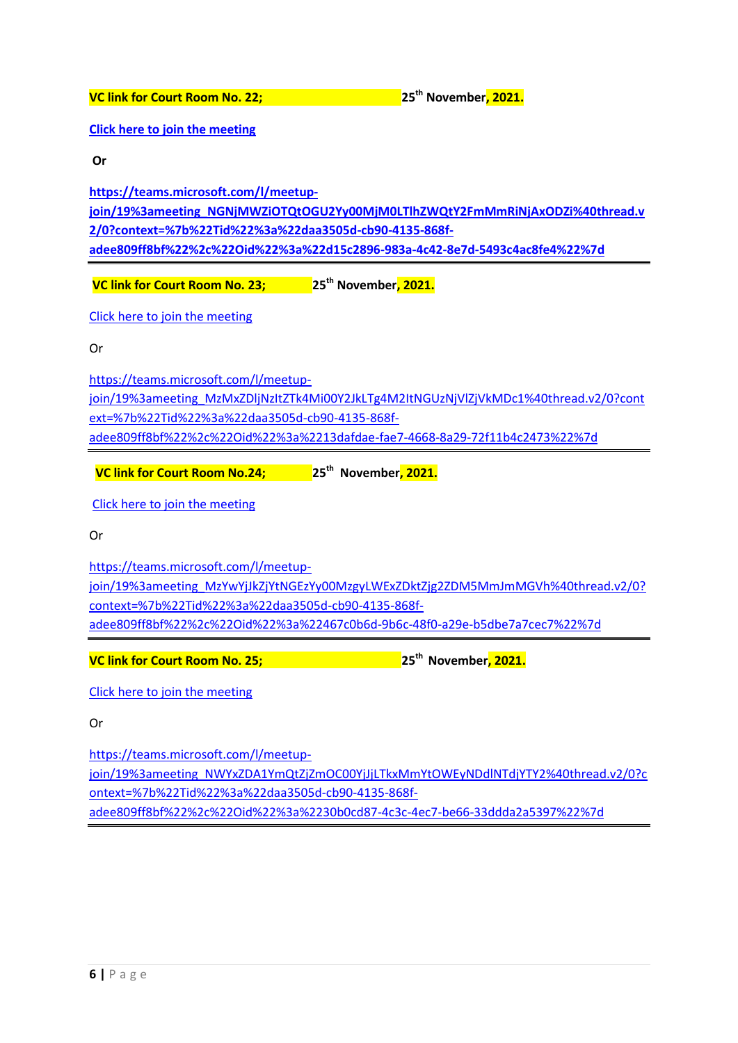**VC link for Court Room No. 22; 25th November, 2021.**

**[Click here to join the meeting](https://teams.microsoft.com/l/meetup-join/19%3ameeting_NGNjMWZiOTQtOGU2Yy00MjM0LTlhZWQtY2FmMmRiNjAxODZi%40thread.v2/0?context=%7b%22Tid%22%3a%22daa3505d-cb90-4135-868f-adee809ff8bf%22%2c%22Oid%22%3a%22d15c2896-983a-4c42-8e7d-5493c4ac8fe4%22%7d)**

**Or**

**[https://teams.microsoft.com/l/meetup-](https://teams.microsoft.com/l/meetup-join/19%3ameeting_NGNjMWZiOTQtOGU2Yy00MjM0LTlhZWQtY2FmMmRiNjAxODZi%40thread.v2/0?context=%7b%22Tid%22%3a%22daa3505d-cb90-4135-868f-adee809ff8bf%22%2c%22Oid%22%3a%22d15c2896-983a-4c42-8e7d-5493c4ac8fe4%22%7d)**

**[join/19%3ameeting\\_NGNjMWZiOTQtOGU2Yy00MjM0LTlhZWQtY2FmMmRiNjAxODZi%40thread.v](https://teams.microsoft.com/l/meetup-join/19%3ameeting_NGNjMWZiOTQtOGU2Yy00MjM0LTlhZWQtY2FmMmRiNjAxODZi%40thread.v2/0?context=%7b%22Tid%22%3a%22daa3505d-cb90-4135-868f-adee809ff8bf%22%2c%22Oid%22%3a%22d15c2896-983a-4c42-8e7d-5493c4ac8fe4%22%7d) [2/0?context=%7b%22Tid%22%3a%22daa3505d-cb90-4135-868f](https://teams.microsoft.com/l/meetup-join/19%3ameeting_NGNjMWZiOTQtOGU2Yy00MjM0LTlhZWQtY2FmMmRiNjAxODZi%40thread.v2/0?context=%7b%22Tid%22%3a%22daa3505d-cb90-4135-868f-adee809ff8bf%22%2c%22Oid%22%3a%22d15c2896-983a-4c42-8e7d-5493c4ac8fe4%22%7d)[adee809ff8bf%22%2c%22Oid%22%3a%22d15c2896-983a-4c42-8e7d-5493c4ac8fe4%22%7d](https://teams.microsoft.com/l/meetup-join/19%3ameeting_NGNjMWZiOTQtOGU2Yy00MjM0LTlhZWQtY2FmMmRiNjAxODZi%40thread.v2/0?context=%7b%22Tid%22%3a%22daa3505d-cb90-4135-868f-adee809ff8bf%22%2c%22Oid%22%3a%22d15c2896-983a-4c42-8e7d-5493c4ac8fe4%22%7d)**

**VC link for Court Room No. 23; 25th November, 2021.**

[Click here to join the meeting](https://teams.microsoft.com/l/meetup-join/19%3ameeting_MzMxZDljNzItZTk4Mi00Y2JkLTg4M2ItNGUzNjVlZjVkMDc1%40thread.v2/0?context=%7b%22Tid%22%3a%22daa3505d-cb90-4135-868f-adee809ff8bf%22%2c%22Oid%22%3a%2213dafdae-fae7-4668-8a29-72f11b4c2473%22%7d)

Or

[https://teams.microsoft.com/l/meetup](https://teams.microsoft.com/l/meetup-join/19%3ameeting_MzMxZDljNzItZTk4Mi00Y2JkLTg4M2ItNGUzNjVlZjVkMDc1%40thread.v2/0?context=%7b%22Tid%22%3a%22daa3505d-cb90-4135-868f-adee809ff8bf%22%2c%22Oid%22%3a%2213dafdae-fae7-4668-8a29-72f11b4c2473%22%7d)[join/19%3ameeting\\_MzMxZDljNzItZTk4Mi00Y2JkLTg4M2ItNGUzNjVlZjVkMDc1%40thread.v2/0?cont](https://teams.microsoft.com/l/meetup-join/19%3ameeting_MzMxZDljNzItZTk4Mi00Y2JkLTg4M2ItNGUzNjVlZjVkMDc1%40thread.v2/0?context=%7b%22Tid%22%3a%22daa3505d-cb90-4135-868f-adee809ff8bf%22%2c%22Oid%22%3a%2213dafdae-fae7-4668-8a29-72f11b4c2473%22%7d) [ext=%7b%22Tid%22%3a%22daa3505d-cb90-4135-868f](https://teams.microsoft.com/l/meetup-join/19%3ameeting_MzMxZDljNzItZTk4Mi00Y2JkLTg4M2ItNGUzNjVlZjVkMDc1%40thread.v2/0?context=%7b%22Tid%22%3a%22daa3505d-cb90-4135-868f-adee809ff8bf%22%2c%22Oid%22%3a%2213dafdae-fae7-4668-8a29-72f11b4c2473%22%7d)[adee809ff8bf%22%2c%22Oid%22%3a%2213dafdae-fae7-4668-8a29-72f11b4c2473%22%7d](https://teams.microsoft.com/l/meetup-join/19%3ameeting_MzMxZDljNzItZTk4Mi00Y2JkLTg4M2ItNGUzNjVlZjVkMDc1%40thread.v2/0?context=%7b%22Tid%22%3a%22daa3505d-cb90-4135-868f-adee809ff8bf%22%2c%22Oid%22%3a%2213dafdae-fae7-4668-8a29-72f11b4c2473%22%7d)

**VC link for Court Room No.24; 25th November, 2021.**

[Click here to join the meeting](https://teams.microsoft.com/l/meetup-join/19%3ameeting_MzYwYjJkZjYtNGEzYy00MzgyLWExZDktZjg2ZDM5MmJmMGVh%40thread.v2/0?context=%7b%22Tid%22%3a%22daa3505d-cb90-4135-868f-adee809ff8bf%22%2c%22Oid%22%3a%22467c0b6d-9b6c-48f0-a29e-b5dbe7a7cec7%22%7d)

Or

[https://teams.microsoft.com/l/meetup](https://teams.microsoft.com/l/meetup-join/19%3ameeting_MzYwYjJkZjYtNGEzYy00MzgyLWExZDktZjg2ZDM5MmJmMGVh%40thread.v2/0?context=%7b%22Tid%22%3a%22daa3505d-cb90-4135-868f-adee809ff8bf%22%2c%22Oid%22%3a%22467c0b6d-9b6c-48f0-a29e-b5dbe7a7cec7%22%7d)[join/19%3ameeting\\_MzYwYjJkZjYtNGEzYy00MzgyLWExZDktZjg2ZDM5MmJmMGVh%40thread.v2/0?](https://teams.microsoft.com/l/meetup-join/19%3ameeting_MzYwYjJkZjYtNGEzYy00MzgyLWExZDktZjg2ZDM5MmJmMGVh%40thread.v2/0?context=%7b%22Tid%22%3a%22daa3505d-cb90-4135-868f-adee809ff8bf%22%2c%22Oid%22%3a%22467c0b6d-9b6c-48f0-a29e-b5dbe7a7cec7%22%7d) [context=%7b%22Tid%22%3a%22daa3505d-cb90-4135-868f](https://teams.microsoft.com/l/meetup-join/19%3ameeting_MzYwYjJkZjYtNGEzYy00MzgyLWExZDktZjg2ZDM5MmJmMGVh%40thread.v2/0?context=%7b%22Tid%22%3a%22daa3505d-cb90-4135-868f-adee809ff8bf%22%2c%22Oid%22%3a%22467c0b6d-9b6c-48f0-a29e-b5dbe7a7cec7%22%7d)[adee809ff8bf%22%2c%22Oid%22%3a%22467c0b6d-9b6c-48f0-a29e-b5dbe7a7cec7%22%7d](https://teams.microsoft.com/l/meetup-join/19%3ameeting_MzYwYjJkZjYtNGEzYy00MzgyLWExZDktZjg2ZDM5MmJmMGVh%40thread.v2/0?context=%7b%22Tid%22%3a%22daa3505d-cb90-4135-868f-adee809ff8bf%22%2c%22Oid%22%3a%22467c0b6d-9b6c-48f0-a29e-b5dbe7a7cec7%22%7d)

**VC link for Court Room No. 25; 25th November, 2021.**

[Click here to join the meeting](https://teams.microsoft.com/l/meetup-join/19%3ameeting_NWYxZDA1YmQtZjZmOC00YjJjLTkxMmYtOWEyNDdlNTdjYTY2%40thread.v2/0?context=%7b%22Tid%22%3a%22daa3505d-cb90-4135-868f-adee809ff8bf%22%2c%22Oid%22%3a%2230b0cd87-4c3c-4ec7-be66-33ddda2a5397%22%7d)

Or

[https://teams.microsoft.com/l/meetup](https://teams.microsoft.com/l/meetup-join/19%3ameeting_NWYxZDA1YmQtZjZmOC00YjJjLTkxMmYtOWEyNDdlNTdjYTY2%40thread.v2/0?context=%7b%22Tid%22%3a%22daa3505d-cb90-4135-868f-adee809ff8bf%22%2c%22Oid%22%3a%2230b0cd87-4c3c-4ec7-be66-33ddda2a5397%22%7d)[join/19%3ameeting\\_NWYxZDA1YmQtZjZmOC00YjJjLTkxMmYtOWEyNDdlNTdjYTY2%40thread.v2/0?c](https://teams.microsoft.com/l/meetup-join/19%3ameeting_NWYxZDA1YmQtZjZmOC00YjJjLTkxMmYtOWEyNDdlNTdjYTY2%40thread.v2/0?context=%7b%22Tid%22%3a%22daa3505d-cb90-4135-868f-adee809ff8bf%22%2c%22Oid%22%3a%2230b0cd87-4c3c-4ec7-be66-33ddda2a5397%22%7d) [ontext=%7b%22Tid%22%3a%22daa3505d-cb90-4135-868f](https://teams.microsoft.com/l/meetup-join/19%3ameeting_NWYxZDA1YmQtZjZmOC00YjJjLTkxMmYtOWEyNDdlNTdjYTY2%40thread.v2/0?context=%7b%22Tid%22%3a%22daa3505d-cb90-4135-868f-adee809ff8bf%22%2c%22Oid%22%3a%2230b0cd87-4c3c-4ec7-be66-33ddda2a5397%22%7d)[adee809ff8bf%22%2c%22Oid%22%3a%2230b0cd87-4c3c-4ec7-be66-33ddda2a5397%22%7d](https://teams.microsoft.com/l/meetup-join/19%3ameeting_NWYxZDA1YmQtZjZmOC00YjJjLTkxMmYtOWEyNDdlNTdjYTY2%40thread.v2/0?context=%7b%22Tid%22%3a%22daa3505d-cb90-4135-868f-adee809ff8bf%22%2c%22Oid%22%3a%2230b0cd87-4c3c-4ec7-be66-33ddda2a5397%22%7d)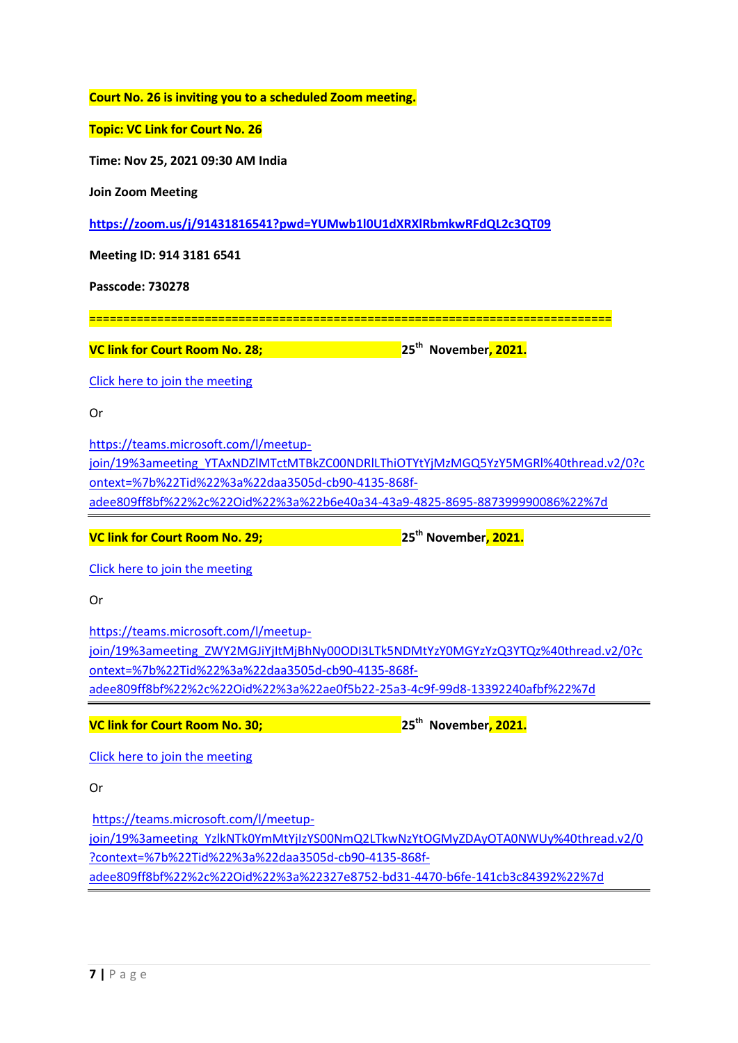| Court No. 26 is inviting you to a scheduled Zoom meeting. |  |
|-----------------------------------------------------------|--|
|-----------------------------------------------------------|--|

## **Topic: VC Link for Court No. 26**

**Time: Nov 25, 2021 09:30 AM India**

**Join Zoom Meeting**

**<https://zoom.us/j/91431816541?pwd=YUMwb1l0U1dXRXlRbmkwRFdQL2c3QT09>**

**Meeting ID: 914 3181 6541**

**Passcode: 730278**

=============================================================================

**VC link for Court Room No. 28; 25th November, 2021.**

[Click here to join the meeting](https://teams.microsoft.com/l/meetup-join/19%3ameeting_YTAxNDZlMTctMTBkZC00NDRlLThiOTYtYjMzMGQ5YzY5MGRl%40thread.v2/0?context=%7b%22Tid%22%3a%22daa3505d-cb90-4135-868f-adee809ff8bf%22%2c%22Oid%22%3a%22b6e40a34-43a9-4825-8695-887399990086%22%7d)

Or

[https://teams.microsoft.com/l/meetup-](https://teams.microsoft.com/l/meetup-join/19%3ameeting_YTAxNDZlMTctMTBkZC00NDRlLThiOTYtYjMzMGQ5YzY5MGRl%40thread.v2/0?context=%7b%22Tid%22%3a%22daa3505d-cb90-4135-868f-adee809ff8bf%22%2c%22Oid%22%3a%22b6e40a34-43a9-4825-8695-887399990086%22%7d)

[join/19%3ameeting\\_YTAxNDZlMTctMTBkZC00NDRlLThiOTYtYjMzMGQ5YzY5MGRl%40thread.v2/0?c](https://teams.microsoft.com/l/meetup-join/19%3ameeting_YTAxNDZlMTctMTBkZC00NDRlLThiOTYtYjMzMGQ5YzY5MGRl%40thread.v2/0?context=%7b%22Tid%22%3a%22daa3505d-cb90-4135-868f-adee809ff8bf%22%2c%22Oid%22%3a%22b6e40a34-43a9-4825-8695-887399990086%22%7d) [ontext=%7b%22Tid%22%3a%22daa3505d-cb90-4135-868f](https://teams.microsoft.com/l/meetup-join/19%3ameeting_YTAxNDZlMTctMTBkZC00NDRlLThiOTYtYjMzMGQ5YzY5MGRl%40thread.v2/0?context=%7b%22Tid%22%3a%22daa3505d-cb90-4135-868f-adee809ff8bf%22%2c%22Oid%22%3a%22b6e40a34-43a9-4825-8695-887399990086%22%7d)[adee809ff8bf%22%2c%22Oid%22%3a%22b6e40a34-43a9-4825-8695-887399990086%22%7d](https://teams.microsoft.com/l/meetup-join/19%3ameeting_YTAxNDZlMTctMTBkZC00NDRlLThiOTYtYjMzMGQ5YzY5MGRl%40thread.v2/0?context=%7b%22Tid%22%3a%22daa3505d-cb90-4135-868f-adee809ff8bf%22%2c%22Oid%22%3a%22b6e40a34-43a9-4825-8695-887399990086%22%7d)

**VC link for Court Room No. 29; 25th November, 2021.**

[Click here to join the meeting](https://teams.microsoft.com/l/meetup-join/19%3ameeting_ZWY2MGJiYjItMjBhNy00ODI3LTk5NDMtYzY0MGYzYzQ3YTQz%40thread.v2/0?context=%7b%22Tid%22%3a%22daa3505d-cb90-4135-868f-adee809ff8bf%22%2c%22Oid%22%3a%22ae0f5b22-25a3-4c9f-99d8-13392240afbf%22%7d)

Or

[https://teams.microsoft.com/l/meetup](https://teams.microsoft.com/l/meetup-join/19%3ameeting_ZWY2MGJiYjItMjBhNy00ODI3LTk5NDMtYzY0MGYzYzQ3YTQz%40thread.v2/0?context=%7b%22Tid%22%3a%22daa3505d-cb90-4135-868f-adee809ff8bf%22%2c%22Oid%22%3a%22ae0f5b22-25a3-4c9f-99d8-13392240afbf%22%7d)[join/19%3ameeting\\_ZWY2MGJiYjItMjBhNy00ODI3LTk5NDMtYzY0MGYzYzQ3YTQz%40thread.v2/0?c](https://teams.microsoft.com/l/meetup-join/19%3ameeting_ZWY2MGJiYjItMjBhNy00ODI3LTk5NDMtYzY0MGYzYzQ3YTQz%40thread.v2/0?context=%7b%22Tid%22%3a%22daa3505d-cb90-4135-868f-adee809ff8bf%22%2c%22Oid%22%3a%22ae0f5b22-25a3-4c9f-99d8-13392240afbf%22%7d) [ontext=%7b%22Tid%22%3a%22daa3505d-cb90-4135-868f](https://teams.microsoft.com/l/meetup-join/19%3ameeting_ZWY2MGJiYjItMjBhNy00ODI3LTk5NDMtYzY0MGYzYzQ3YTQz%40thread.v2/0?context=%7b%22Tid%22%3a%22daa3505d-cb90-4135-868f-adee809ff8bf%22%2c%22Oid%22%3a%22ae0f5b22-25a3-4c9f-99d8-13392240afbf%22%7d)[adee809ff8bf%22%2c%22Oid%22%3a%22ae0f5b22-25a3-4c9f-99d8-13392240afbf%22%7d](https://teams.microsoft.com/l/meetup-join/19%3ameeting_ZWY2MGJiYjItMjBhNy00ODI3LTk5NDMtYzY0MGYzYzQ3YTQz%40thread.v2/0?context=%7b%22Tid%22%3a%22daa3505d-cb90-4135-868f-adee809ff8bf%22%2c%22Oid%22%3a%22ae0f5b22-25a3-4c9f-99d8-13392240afbf%22%7d)

**VC link for Court Room No. 30; 25th November, 2021.**

[Click here to join the meeting](https://teams.microsoft.com/l/meetup-join/19%3ameeting_YzlkNTk0YmMtYjIzYS00NmQ2LTkwNzYtOGMyZDAyOTA0NWUy%40thread.v2/0?context=%7b%22Tid%22%3a%22daa3505d-cb90-4135-868f-adee809ff8bf%22%2c%22Oid%22%3a%22327e8752-bd31-4470-b6fe-141cb3c84392%22%7d)

Or

[https://teams.microsoft.com/l/meetup](https://teams.microsoft.com/l/meetup-join/19%3ameeting_YzlkNTk0YmMtYjIzYS00NmQ2LTkwNzYtOGMyZDAyOTA0NWUy%40thread.v2/0?context=%7b%22Tid%22%3a%22daa3505d-cb90-4135-868f-adee809ff8bf%22%2c%22Oid%22%3a%22327e8752-bd31-4470-b6fe-141cb3c84392%22%7d)[join/19%3ameeting\\_YzlkNTk0YmMtYjIzYS00NmQ2LTkwNzYtOGMyZDAyOTA0NWUy%40thread.v2/0](https://teams.microsoft.com/l/meetup-join/19%3ameeting_YzlkNTk0YmMtYjIzYS00NmQ2LTkwNzYtOGMyZDAyOTA0NWUy%40thread.v2/0?context=%7b%22Tid%22%3a%22daa3505d-cb90-4135-868f-adee809ff8bf%22%2c%22Oid%22%3a%22327e8752-bd31-4470-b6fe-141cb3c84392%22%7d) [?context=%7b%22Tid%22%3a%22daa3505d-cb90-4135-868f](https://teams.microsoft.com/l/meetup-join/19%3ameeting_YzlkNTk0YmMtYjIzYS00NmQ2LTkwNzYtOGMyZDAyOTA0NWUy%40thread.v2/0?context=%7b%22Tid%22%3a%22daa3505d-cb90-4135-868f-adee809ff8bf%22%2c%22Oid%22%3a%22327e8752-bd31-4470-b6fe-141cb3c84392%22%7d)[adee809ff8bf%22%2c%22Oid%22%3a%22327e8752-bd31-4470-b6fe-141cb3c84392%22%7d](https://teams.microsoft.com/l/meetup-join/19%3ameeting_YzlkNTk0YmMtYjIzYS00NmQ2LTkwNzYtOGMyZDAyOTA0NWUy%40thread.v2/0?context=%7b%22Tid%22%3a%22daa3505d-cb90-4135-868f-adee809ff8bf%22%2c%22Oid%22%3a%22327e8752-bd31-4470-b6fe-141cb3c84392%22%7d)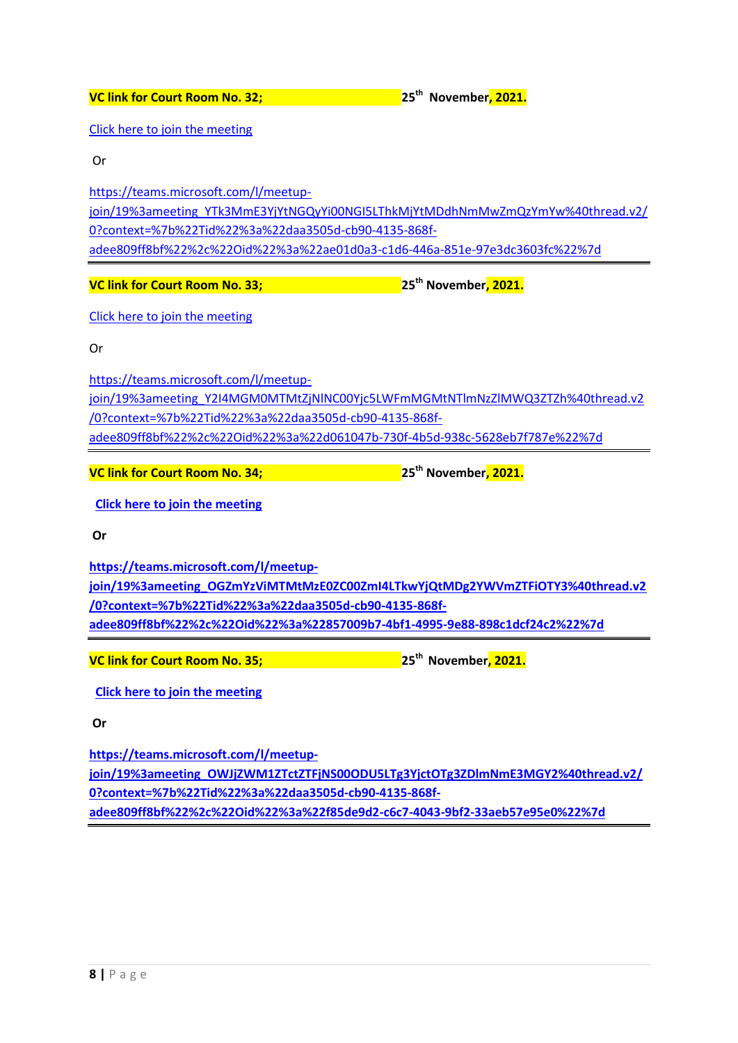[Click here to join the meeting](https://teams.microsoft.com/l/meetup-join/19%3ameeting_YTk3MmE3YjYtNGQyYi00NGI5LThkMjYtMDdhNmMwZmQzYmYw%40thread.v2/0?context=%7b%22Tid%22%3a%22daa3505d-cb90-4135-868f-adee809ff8bf%22%2c%22Oid%22%3a%22ae01d0a3-c1d6-446a-851e-97e3dc3603fc%22%7d)

Or

[https://teams.microsoft.com/l/meetup](https://teams.microsoft.com/l/meetup-join/19%3ameeting_YTk3MmE3YjYtNGQyYi00NGI5LThkMjYtMDdhNmMwZmQzYmYw%40thread.v2/0?context=%7b%22Tid%22%3a%22daa3505d-cb90-4135-868f-adee809ff8bf%22%2c%22Oid%22%3a%22ae01d0a3-c1d6-446a-851e-97e3dc3603fc%22%7d)[join/19%3ameeting\\_YTk3MmE3YjYtNGQyYi00NGI5LThkMjYtMDdhNmMwZmQzYmYw%40thread.v2/](https://teams.microsoft.com/l/meetup-join/19%3ameeting_YTk3MmE3YjYtNGQyYi00NGI5LThkMjYtMDdhNmMwZmQzYmYw%40thread.v2/0?context=%7b%22Tid%22%3a%22daa3505d-cb90-4135-868f-adee809ff8bf%22%2c%22Oid%22%3a%22ae01d0a3-c1d6-446a-851e-97e3dc3603fc%22%7d) [0?context=%7b%22Tid%22%3a%22daa3505d-cb90-4135-868f](https://teams.microsoft.com/l/meetup-join/19%3ameeting_YTk3MmE3YjYtNGQyYi00NGI5LThkMjYtMDdhNmMwZmQzYmYw%40thread.v2/0?context=%7b%22Tid%22%3a%22daa3505d-cb90-4135-868f-adee809ff8bf%22%2c%22Oid%22%3a%22ae01d0a3-c1d6-446a-851e-97e3dc3603fc%22%7d)[adee809ff8bf%22%2c%22Oid%22%3a%22ae01d0a3-c1d6-446a-851e-97e3dc3603fc%22%7d](https://teams.microsoft.com/l/meetup-join/19%3ameeting_YTk3MmE3YjYtNGQyYi00NGI5LThkMjYtMDdhNmMwZmQzYmYw%40thread.v2/0?context=%7b%22Tid%22%3a%22daa3505d-cb90-4135-868f-adee809ff8bf%22%2c%22Oid%22%3a%22ae01d0a3-c1d6-446a-851e-97e3dc3603fc%22%7d)

**VC link for Court Room No. 33; 25th November, 2021.**

[Click here to join the meeting](https://teams.microsoft.com/l/meetup-join/19%3ameeting_Y2I4MGM0MTMtZjNlNC00Yjc5LWFmMGMtNTlmNzZlMWQ3ZTZh%40thread.v2/0?context=%7b%22Tid%22%3a%22daa3505d-cb90-4135-868f-adee809ff8bf%22%2c%22Oid%22%3a%22d061047b-730f-4b5d-938c-5628eb7f787e%22%7d)

Or

[https://teams.microsoft.com/l/meetup](https://teams.microsoft.com/l/meetup-join/19%3ameeting_Y2I4MGM0MTMtZjNlNC00Yjc5LWFmMGMtNTlmNzZlMWQ3ZTZh%40thread.v2/0?context=%7b%22Tid%22%3a%22daa3505d-cb90-4135-868f-adee809ff8bf%22%2c%22Oid%22%3a%22d061047b-730f-4b5d-938c-5628eb7f787e%22%7d)[join/19%3ameeting\\_Y2I4MGM0MTMtZjNlNC00Yjc5LWFmMGMtNTlmNzZlMWQ3ZTZh%40thread.v2](https://teams.microsoft.com/l/meetup-join/19%3ameeting_Y2I4MGM0MTMtZjNlNC00Yjc5LWFmMGMtNTlmNzZlMWQ3ZTZh%40thread.v2/0?context=%7b%22Tid%22%3a%22daa3505d-cb90-4135-868f-adee809ff8bf%22%2c%22Oid%22%3a%22d061047b-730f-4b5d-938c-5628eb7f787e%22%7d) [/0?context=%7b%22Tid%22%3a%22daa3505d-cb90-4135-868f](https://teams.microsoft.com/l/meetup-join/19%3ameeting_Y2I4MGM0MTMtZjNlNC00Yjc5LWFmMGMtNTlmNzZlMWQ3ZTZh%40thread.v2/0?context=%7b%22Tid%22%3a%22daa3505d-cb90-4135-868f-adee809ff8bf%22%2c%22Oid%22%3a%22d061047b-730f-4b5d-938c-5628eb7f787e%22%7d)[adee809ff8bf%22%2c%22Oid%22%3a%22d061047b-730f-4b5d-938c-5628eb7f787e%22%7d](https://teams.microsoft.com/l/meetup-join/19%3ameeting_Y2I4MGM0MTMtZjNlNC00Yjc5LWFmMGMtNTlmNzZlMWQ3ZTZh%40thread.v2/0?context=%7b%22Tid%22%3a%22daa3505d-cb90-4135-868f-adee809ff8bf%22%2c%22Oid%22%3a%22d061047b-730f-4b5d-938c-5628eb7f787e%22%7d)

**VC link for Court Room No. 34; 25th November, 2021.**

**[Click here to join the meeting](https://teams.microsoft.com/l/meetup-join/19%3ameeting_OGZmYzViMTMtMzE0ZC00ZmI4LTkwYjQtMDg2YWVmZTFiOTY3%40thread.v2/0?context=%7b%22Tid%22%3a%22daa3505d-cb90-4135-868f-adee809ff8bf%22%2c%22Oid%22%3a%22857009b7-4bf1-4995-9e88-898c1dcf24c2%22%7d)**

**Or**

**[https://teams.microsoft.com/l/meetup](https://teams.microsoft.com/l/meetup-join/19%3ameeting_OGZmYzViMTMtMzE0ZC00ZmI4LTkwYjQtMDg2YWVmZTFiOTY3%40thread.v2/0?context=%7b%22Tid%22%3a%22daa3505d-cb90-4135-868f-adee809ff8bf%22%2c%22Oid%22%3a%22857009b7-4bf1-4995-9e88-898c1dcf24c2%22%7d)[join/19%3ameeting\\_OGZmYzViMTMtMzE0ZC00ZmI4LTkwYjQtMDg2YWVmZTFiOTY3%40thread.v2](https://teams.microsoft.com/l/meetup-join/19%3ameeting_OGZmYzViMTMtMzE0ZC00ZmI4LTkwYjQtMDg2YWVmZTFiOTY3%40thread.v2/0?context=%7b%22Tid%22%3a%22daa3505d-cb90-4135-868f-adee809ff8bf%22%2c%22Oid%22%3a%22857009b7-4bf1-4995-9e88-898c1dcf24c2%22%7d) [/0?context=%7b%22Tid%22%3a%22daa3505d-cb90-4135-868f](https://teams.microsoft.com/l/meetup-join/19%3ameeting_OGZmYzViMTMtMzE0ZC00ZmI4LTkwYjQtMDg2YWVmZTFiOTY3%40thread.v2/0?context=%7b%22Tid%22%3a%22daa3505d-cb90-4135-868f-adee809ff8bf%22%2c%22Oid%22%3a%22857009b7-4bf1-4995-9e88-898c1dcf24c2%22%7d)[adee809ff8bf%22%2c%22Oid%22%3a%22857009b7-4bf1-4995-9e88-898c1dcf24c2%22%7d](https://teams.microsoft.com/l/meetup-join/19%3ameeting_OGZmYzViMTMtMzE0ZC00ZmI4LTkwYjQtMDg2YWVmZTFiOTY3%40thread.v2/0?context=%7b%22Tid%22%3a%22daa3505d-cb90-4135-868f-adee809ff8bf%22%2c%22Oid%22%3a%22857009b7-4bf1-4995-9e88-898c1dcf24c2%22%7d)**

**VC link for Court Room No. 35; 25th November, 2021.**

**[Click here to join the meeting](https://teams.microsoft.com/l/meetup-join/19%3ameeting_OWJjZWM1ZTctZTFjNS00ODU5LTg3YjctOTg3ZDlmNmE3MGY2%40thread.v2/0?context=%7b%22Tid%22%3a%22daa3505d-cb90-4135-868f-adee809ff8bf%22%2c%22Oid%22%3a%22f85de9d2-c6c7-4043-9bf2-33aeb57e95e0%22%7d)**

**Or** 

**[https://teams.microsoft.com/l/meetup](https://teams.microsoft.com/l/meetup-join/19%3ameeting_OWJjZWM1ZTctZTFjNS00ODU5LTg3YjctOTg3ZDlmNmE3MGY2%40thread.v2/0?context=%7b%22Tid%22%3a%22daa3505d-cb90-4135-868f-adee809ff8bf%22%2c%22Oid%22%3a%22f85de9d2-c6c7-4043-9bf2-33aeb57e95e0%22%7d)[join/19%3ameeting\\_OWJjZWM1ZTctZTFjNS00ODU5LTg3YjctOTg3ZDlmNmE3MGY2%40thread.v2/](https://teams.microsoft.com/l/meetup-join/19%3ameeting_OWJjZWM1ZTctZTFjNS00ODU5LTg3YjctOTg3ZDlmNmE3MGY2%40thread.v2/0?context=%7b%22Tid%22%3a%22daa3505d-cb90-4135-868f-adee809ff8bf%22%2c%22Oid%22%3a%22f85de9d2-c6c7-4043-9bf2-33aeb57e95e0%22%7d) [0?context=%7b%22Tid%22%3a%22daa3505d-cb90-4135-868f](https://teams.microsoft.com/l/meetup-join/19%3ameeting_OWJjZWM1ZTctZTFjNS00ODU5LTg3YjctOTg3ZDlmNmE3MGY2%40thread.v2/0?context=%7b%22Tid%22%3a%22daa3505d-cb90-4135-868f-adee809ff8bf%22%2c%22Oid%22%3a%22f85de9d2-c6c7-4043-9bf2-33aeb57e95e0%22%7d)[adee809ff8bf%22%2c%22Oid%22%3a%22f85de9d2-c6c7-4043-9bf2-33aeb57e95e0%22%7d](https://teams.microsoft.com/l/meetup-join/19%3ameeting_OWJjZWM1ZTctZTFjNS00ODU5LTg3YjctOTg3ZDlmNmE3MGY2%40thread.v2/0?context=%7b%22Tid%22%3a%22daa3505d-cb90-4135-868f-adee809ff8bf%22%2c%22Oid%22%3a%22f85de9d2-c6c7-4043-9bf2-33aeb57e95e0%22%7d)**

**VC link for Court Room No. 32; 25th November, 2021.**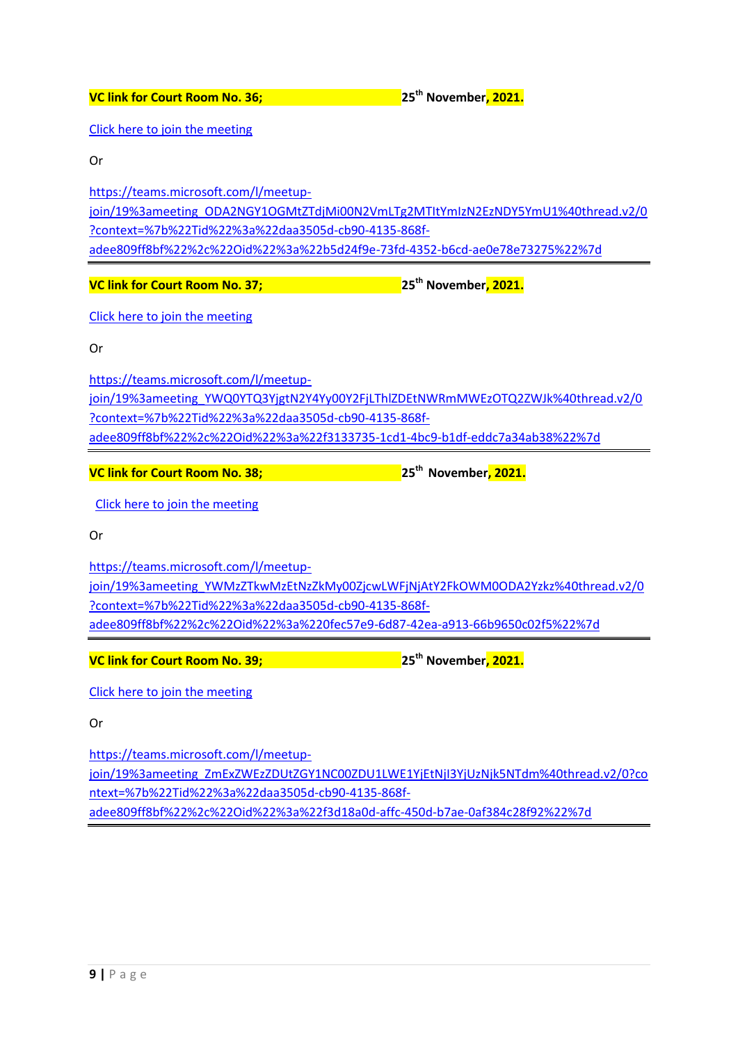[Click here to join the meeting](https://teams.microsoft.com/l/meetup-join/19%3ameeting_ODA2NGY1OGMtZTdjMi00N2VmLTg2MTItYmIzN2EzNDY5YmU1%40thread.v2/0?context=%7b%22Tid%22%3a%22daa3505d-cb90-4135-868f-adee809ff8bf%22%2c%22Oid%22%3a%22b5d24f9e-73fd-4352-b6cd-ae0e78e73275%22%7d)

Or

[https://teams.microsoft.com/l/meetup](https://teams.microsoft.com/l/meetup-join/19%3ameeting_ODA2NGY1OGMtZTdjMi00N2VmLTg2MTItYmIzN2EzNDY5YmU1%40thread.v2/0?context=%7b%22Tid%22%3a%22daa3505d-cb90-4135-868f-adee809ff8bf%22%2c%22Oid%22%3a%22b5d24f9e-73fd-4352-b6cd-ae0e78e73275%22%7d)[join/19%3ameeting\\_ODA2NGY1OGMtZTdjMi00N2VmLTg2MTItYmIzN2EzNDY5YmU1%40thread.v2/0](https://teams.microsoft.com/l/meetup-join/19%3ameeting_ODA2NGY1OGMtZTdjMi00N2VmLTg2MTItYmIzN2EzNDY5YmU1%40thread.v2/0?context=%7b%22Tid%22%3a%22daa3505d-cb90-4135-868f-adee809ff8bf%22%2c%22Oid%22%3a%22b5d24f9e-73fd-4352-b6cd-ae0e78e73275%22%7d) [?context=%7b%22Tid%22%3a%22daa3505d-cb90-4135-868f](https://teams.microsoft.com/l/meetup-join/19%3ameeting_ODA2NGY1OGMtZTdjMi00N2VmLTg2MTItYmIzN2EzNDY5YmU1%40thread.v2/0?context=%7b%22Tid%22%3a%22daa3505d-cb90-4135-868f-adee809ff8bf%22%2c%22Oid%22%3a%22b5d24f9e-73fd-4352-b6cd-ae0e78e73275%22%7d)[adee809ff8bf%22%2c%22Oid%22%3a%22b5d24f9e-73fd-4352-b6cd-ae0e78e73275%22%7d](https://teams.microsoft.com/l/meetup-join/19%3ameeting_ODA2NGY1OGMtZTdjMi00N2VmLTg2MTItYmIzN2EzNDY5YmU1%40thread.v2/0?context=%7b%22Tid%22%3a%22daa3505d-cb90-4135-868f-adee809ff8bf%22%2c%22Oid%22%3a%22b5d24f9e-73fd-4352-b6cd-ae0e78e73275%22%7d)

**VC link for Court Room No. 37; 25th November, 2021.**

[Click here to join the meeting](https://teams.microsoft.com/l/meetup-join/19%3ameeting_YWQ0YTQ3YjgtN2Y4Yy00Y2FjLThlZDEtNWRmMWEzOTQ2ZWJk%40thread.v2/0?context=%7b%22Tid%22%3a%22daa3505d-cb90-4135-868f-adee809ff8bf%22%2c%22Oid%22%3a%22f3133735-1cd1-4bc9-b1df-eddc7a34ab38%22%7d)

Or

[https://teams.microsoft.com/l/meetup](https://teams.microsoft.com/l/meetup-join/19%3ameeting_YWQ0YTQ3YjgtN2Y4Yy00Y2FjLThlZDEtNWRmMWEzOTQ2ZWJk%40thread.v2/0?context=%7b%22Tid%22%3a%22daa3505d-cb90-4135-868f-adee809ff8bf%22%2c%22Oid%22%3a%22f3133735-1cd1-4bc9-b1df-eddc7a34ab38%22%7d)[join/19%3ameeting\\_YWQ0YTQ3YjgtN2Y4Yy00Y2FjLThlZDEtNWRmMWEzOTQ2ZWJk%40thread.v2/0](https://teams.microsoft.com/l/meetup-join/19%3ameeting_YWQ0YTQ3YjgtN2Y4Yy00Y2FjLThlZDEtNWRmMWEzOTQ2ZWJk%40thread.v2/0?context=%7b%22Tid%22%3a%22daa3505d-cb90-4135-868f-adee809ff8bf%22%2c%22Oid%22%3a%22f3133735-1cd1-4bc9-b1df-eddc7a34ab38%22%7d) [?context=%7b%22Tid%22%3a%22daa3505d-cb90-4135-868f](https://teams.microsoft.com/l/meetup-join/19%3ameeting_YWQ0YTQ3YjgtN2Y4Yy00Y2FjLThlZDEtNWRmMWEzOTQ2ZWJk%40thread.v2/0?context=%7b%22Tid%22%3a%22daa3505d-cb90-4135-868f-adee809ff8bf%22%2c%22Oid%22%3a%22f3133735-1cd1-4bc9-b1df-eddc7a34ab38%22%7d)[adee809ff8bf%22%2c%22Oid%22%3a%22f3133735-1cd1-4bc9-b1df-eddc7a34ab38%22%7d](https://teams.microsoft.com/l/meetup-join/19%3ameeting_YWQ0YTQ3YjgtN2Y4Yy00Y2FjLThlZDEtNWRmMWEzOTQ2ZWJk%40thread.v2/0?context=%7b%22Tid%22%3a%22daa3505d-cb90-4135-868f-adee809ff8bf%22%2c%22Oid%22%3a%22f3133735-1cd1-4bc9-b1df-eddc7a34ab38%22%7d)

**VC link for Court Room No. 38; 25th November, 2021.**

[Click here to join the meeting](https://teams.microsoft.com/l/meetup-join/19%3ameeting_YWMzZTkwMzEtNzZkMy00ZjcwLWFjNjAtY2FkOWM0ODA2Yzkz%40thread.v2/0?context=%7b%22Tid%22%3a%22daa3505d-cb90-4135-868f-adee809ff8bf%22%2c%22Oid%22%3a%220fec57e9-6d87-42ea-a913-66b9650c02f5%22%7d)

Or

[https://teams.microsoft.com/l/meetup](https://teams.microsoft.com/l/meetup-join/19%3ameeting_YWMzZTkwMzEtNzZkMy00ZjcwLWFjNjAtY2FkOWM0ODA2Yzkz%40thread.v2/0?context=%7b%22Tid%22%3a%22daa3505d-cb90-4135-868f-adee809ff8bf%22%2c%22Oid%22%3a%220fec57e9-6d87-42ea-a913-66b9650c02f5%22%7d)[join/19%3ameeting\\_YWMzZTkwMzEtNzZkMy00ZjcwLWFjNjAtY2FkOWM0ODA2Yzkz%40thread.v2/0](https://teams.microsoft.com/l/meetup-join/19%3ameeting_YWMzZTkwMzEtNzZkMy00ZjcwLWFjNjAtY2FkOWM0ODA2Yzkz%40thread.v2/0?context=%7b%22Tid%22%3a%22daa3505d-cb90-4135-868f-adee809ff8bf%22%2c%22Oid%22%3a%220fec57e9-6d87-42ea-a913-66b9650c02f5%22%7d) [?context=%7b%22Tid%22%3a%22daa3505d-cb90-4135-868f](https://teams.microsoft.com/l/meetup-join/19%3ameeting_YWMzZTkwMzEtNzZkMy00ZjcwLWFjNjAtY2FkOWM0ODA2Yzkz%40thread.v2/0?context=%7b%22Tid%22%3a%22daa3505d-cb90-4135-868f-adee809ff8bf%22%2c%22Oid%22%3a%220fec57e9-6d87-42ea-a913-66b9650c02f5%22%7d)[adee809ff8bf%22%2c%22Oid%22%3a%220fec57e9-6d87-42ea-a913-66b9650c02f5%22%7d](https://teams.microsoft.com/l/meetup-join/19%3ameeting_YWMzZTkwMzEtNzZkMy00ZjcwLWFjNjAtY2FkOWM0ODA2Yzkz%40thread.v2/0?context=%7b%22Tid%22%3a%22daa3505d-cb90-4135-868f-adee809ff8bf%22%2c%22Oid%22%3a%220fec57e9-6d87-42ea-a913-66b9650c02f5%22%7d)

**VC link for Court Room No. 39; 25th November, 2021.**

[Click here to join the meeting](https://teams.microsoft.com/l/meetup-join/19%3ameeting_ZmExZWEzZDUtZGY1NC00ZDU1LWE1YjEtNjI3YjUzNjk5NTdm%40thread.v2/0?context=%7b%22Tid%22%3a%22daa3505d-cb90-4135-868f-adee809ff8bf%22%2c%22Oid%22%3a%22f3d18a0d-affc-450d-b7ae-0af384c28f92%22%7d)

Or

[https://teams.microsoft.com/l/meetup](https://teams.microsoft.com/l/meetup-join/19%3ameeting_ZmExZWEzZDUtZGY1NC00ZDU1LWE1YjEtNjI3YjUzNjk5NTdm%40thread.v2/0?context=%7b%22Tid%22%3a%22daa3505d-cb90-4135-868f-adee809ff8bf%22%2c%22Oid%22%3a%22f3d18a0d-affc-450d-b7ae-0af384c28f92%22%7d)[join/19%3ameeting\\_ZmExZWEzZDUtZGY1NC00ZDU1LWE1YjEtNjI3YjUzNjk5NTdm%40thread.v2/0?co](https://teams.microsoft.com/l/meetup-join/19%3ameeting_ZmExZWEzZDUtZGY1NC00ZDU1LWE1YjEtNjI3YjUzNjk5NTdm%40thread.v2/0?context=%7b%22Tid%22%3a%22daa3505d-cb90-4135-868f-adee809ff8bf%22%2c%22Oid%22%3a%22f3d18a0d-affc-450d-b7ae-0af384c28f92%22%7d) [ntext=%7b%22Tid%22%3a%22daa3505d-cb90-4135-868f](https://teams.microsoft.com/l/meetup-join/19%3ameeting_ZmExZWEzZDUtZGY1NC00ZDU1LWE1YjEtNjI3YjUzNjk5NTdm%40thread.v2/0?context=%7b%22Tid%22%3a%22daa3505d-cb90-4135-868f-adee809ff8bf%22%2c%22Oid%22%3a%22f3d18a0d-affc-450d-b7ae-0af384c28f92%22%7d)[adee809ff8bf%22%2c%22Oid%22%3a%22f3d18a0d-affc-450d-b7ae-0af384c28f92%22%7d](https://teams.microsoft.com/l/meetup-join/19%3ameeting_ZmExZWEzZDUtZGY1NC00ZDU1LWE1YjEtNjI3YjUzNjk5NTdm%40thread.v2/0?context=%7b%22Tid%22%3a%22daa3505d-cb90-4135-868f-adee809ff8bf%22%2c%22Oid%22%3a%22f3d18a0d-affc-450d-b7ae-0af384c28f92%22%7d)

**VC link for Court Room No. 36; 25th November, 2021.**